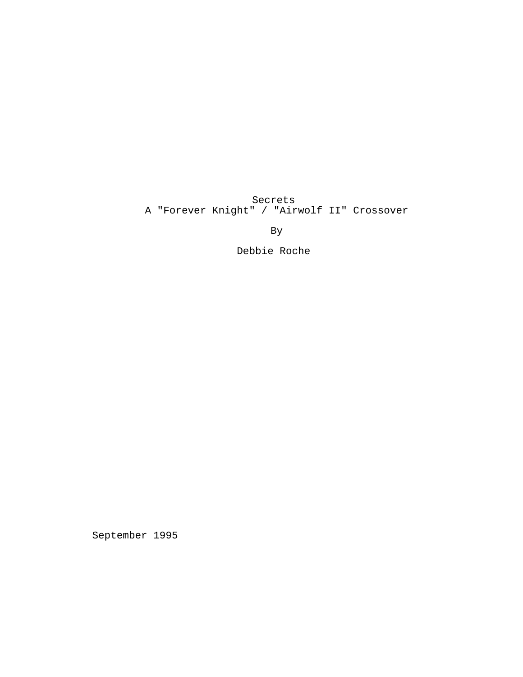Secrets A "Forever Knight" / "Airwolf II" Crossover

By

Debbie Roche

September 1995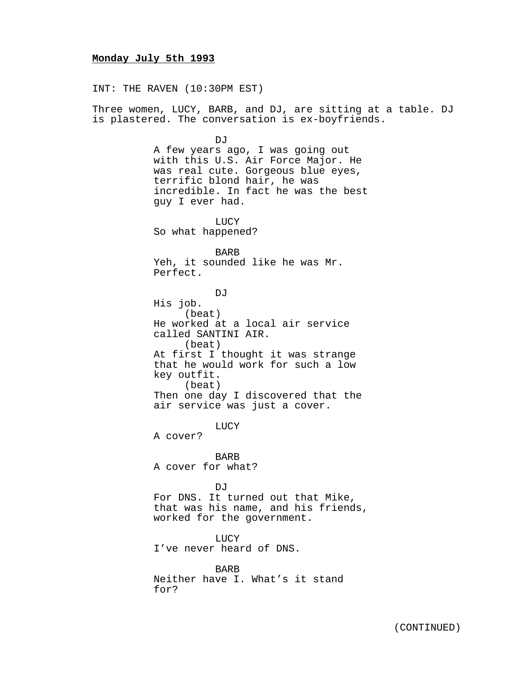## **Monday July 5th 1993**

INT: THE RAVEN (10:30PM EST)

Three women, LUCY, BARB, and DJ, are sitting at a table. DJ is plastered. The conversation is ex-boyfriends.

DJ<sub>J</sub>

A few years ago, I was going out with this U.S. Air Force Major. He was real cute. Gorgeous blue eyes, terrific blond hair, he was incredible. In fact he was the best guy I ever had.

LUCY So what happened?

BARB Yeh, it sounded like he was Mr. Perfect.

DJ<sub>J</sub> His job. (beat) He worked at a local air service called SANTINI AIR. (beat) At first I thought it was strange that he would work for such a low key outfit. (beat) Then one day I discovered that the air service was just a cover.

LUCY

A cover?

BARB A cover for what?

DJ

For DNS. It turned out that Mike, that was his name, and his friends, worked for the government.

LUCY I've never heard of DNS.

BARB Neither have I. What's it stand for?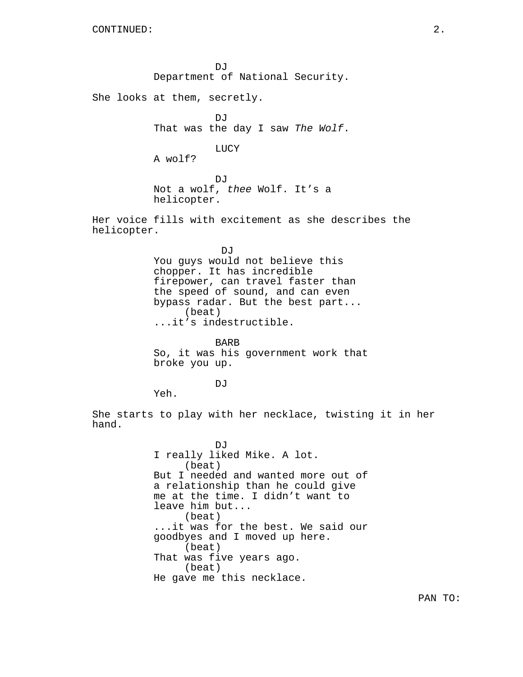DJ Department of National Security.

She looks at them, secretly.

DJ That was the day I saw The Wolf.

LUCY

A wolf?

DJ Not a wolf, thee Wolf. It's a helicopter.

Her voice fills with excitement as she describes the helicopter.

> DJ You guys would not believe this chopper. It has incredible firepower, can travel faster than the speed of sound, and can even bypass radar. But the best part... (beat) ...it's indestructible.

BARB So, it was his government work that broke you up.

DJ<sub>J</sub>

Yeh.

She starts to play with her necklace, twisting it in her hand.

> DJ I really liked Mike. A lot. (beat) But I needed and wanted more out of a relationship than he could give me at the time. I didn't want to leave him but... (beat) ...it was for the best. We said our goodbyes and I moved up here. (beat) That was five years ago. (beat) He gave me this necklace.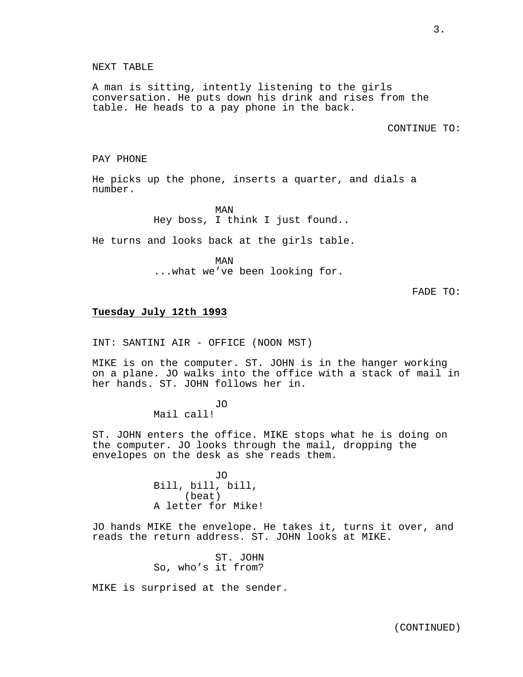A man is sitting, intently listening to the girls conversation. He puts down his drink and rises from the table. He heads to a pay phone in the back.

CONTINUE TO:

#### PAY PHONE

He picks up the phone, inserts a quarter, and dials a number.

> MAN Hey boss, I think I just found..

He turns and looks back at the girls table.

MAN ...what we've been looking for.

FADE TO:

## **Tuesday July 12th 1993**

INT: SANTINI AIR - OFFICE (NOON MST)

MIKE is on the computer. ST. JOHN is in the hanger working on a plane. JO walks into the office with a stack of mail in her hands. ST. JOHN follows her in.

JO

Mail call!

ST. JOHN enters the office. MIKE stops what he is doing on the computer. JO looks through the mail, dropping the envelopes on the desk as she reads them.

> JO Bill, bill, bill, (beat) A letter for Mike!

JO hands MIKE the envelope. He takes it, turns it over, and reads the return address. ST. JOHN looks at MIKE.

> ST. JOHN So, who's it from?

MIKE is surprised at the sender.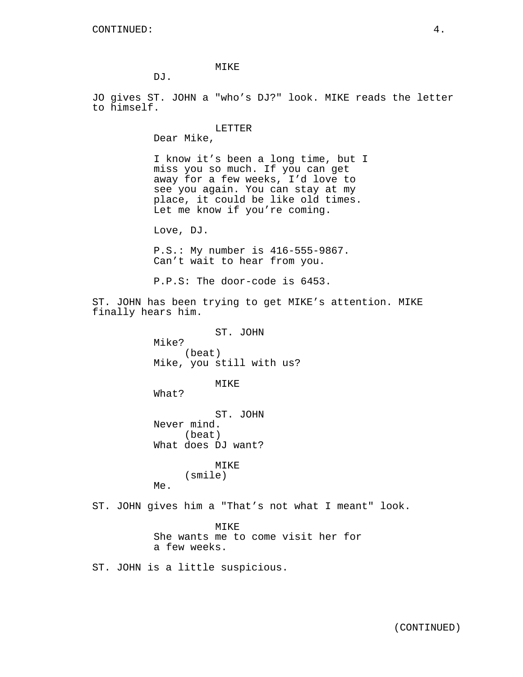MIKE

DJ.

JO gives ST. JOHN a "who's DJ?" look. MIKE reads the letter to himself.

> LETTER Dear Mike,

I know it's been a long time, but I miss you so much. If you can get away for a few weeks, I'd love to see you again. You can stay at my place, it could be like old times. Let me know if you're coming.

Love, DJ.

P.S.: My number is 416-555-9867. Can't wait to hear from you.

P.P.S: The door-code is 6453.

ST. JOHN has been trying to get MIKE's attention. MIKE finally hears him.

> ST. JOHN Mike? (beat) Mike, you still with us?

> > MIKE

What?

ST. JOHN Never mind. (beat) What does DJ want?

> MIKE (smile)

Me.

ST. JOHN gives him a "That's not what I meant" look.

MIKE She wants me to come visit her for a few weeks.

ST. JOHN is a little suspicious.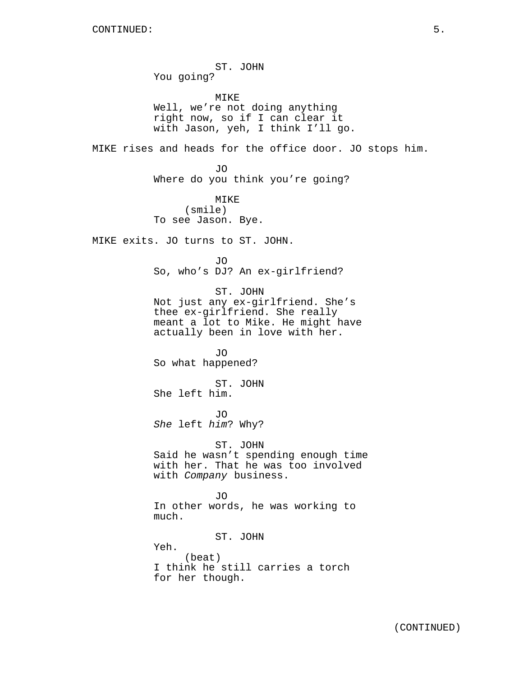ST. JOHN You going? MIKE Well, we're not doing anything right now, so if I can clear it with Jason, yeh, I think I'll go. MIKE rises and heads for the office door. JO stops him. JO Where do you think you're going? MIKE (smile) To see Jason. Bye. MIKE exits. JO turns to ST. JOHN. JO So, who's DJ? An ex-girlfriend? ST. JOHN Not just any ex-girlfriend. She's thee ex-girlfriend. She really meant a lot to Mike. He might have actually been in love with her. JO So what happened? ST. JOHN She left him. JO She left him? Why? ST. JOHN Said he wasn't spending enough time with her. That he was too involved with Company business. JO In other words, he was working to much. ST. JOHN Yeh. (beat) I think he still carries a torch for her though.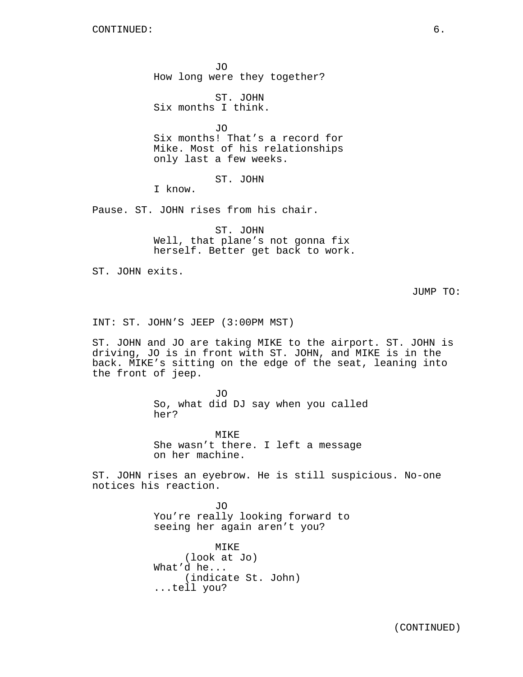JO How long were they together?

ST. JOHN Six months I think.

JO Six months! That's a record for Mike. Most of his relationships only last a few weeks.

ST. JOHN

I know.

Pause. ST. JOHN rises from his chair.

ST. JOHN Well, that plane's not gonna fix herself. Better get back to work.

ST. JOHN exits.

JUMP TO:

INT: ST. JOHN'S JEEP (3:00PM MST)

ST. JOHN and JO are taking MIKE to the airport. ST. JOHN is driving, JO is in front with ST. JOHN, and MIKE is in the back. MIKE's sitting on the edge of the seat, leaning into the front of jeep.

> JO So, what did DJ say when you called her?

MIKE She wasn't there. I left a message on her machine.

ST. JOHN rises an eyebrow. He is still suspicious. No-one notices his reaction.

> JO You're really looking forward to seeing her again aren't you?

MIKE (look at Jo) What'd he... (indicate St. John) ...tell you?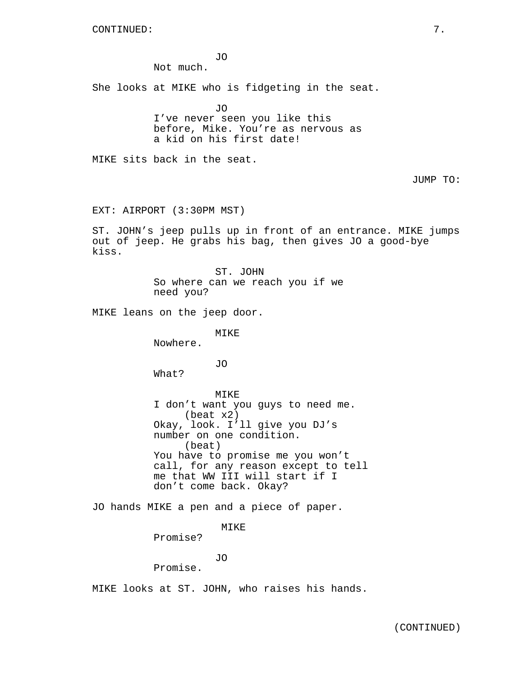JO

Not much.

She looks at MIKE who is fidgeting in the seat.

JO I've never seen you like this before, Mike. You're as nervous as a kid on his first date!

MIKE sits back in the seat.

JUMP TO:

EXT: AIRPORT (3:30PM MST)

ST. JOHN's jeep pulls up in front of an entrance. MIKE jumps out of jeep. He grabs his bag, then gives JO a good-bye kiss.

> ST. JOHN So where can we reach you if we need you?

MIKE leans on the jeep door.

MIKE

Nowhere.

JO

What?

MIKE

I don't want you guys to need me. (beat x2) Okay, look. I'll give you DJ's number on one condition. (beat) You have to promise me you won't call, for any reason except to tell me that WW III will start if I don't come back. Okay?

JO hands MIKE a pen and a piece of paper.

MIKE

Promise?

JO

Promise.

MIKE looks at ST. JOHN, who raises his hands.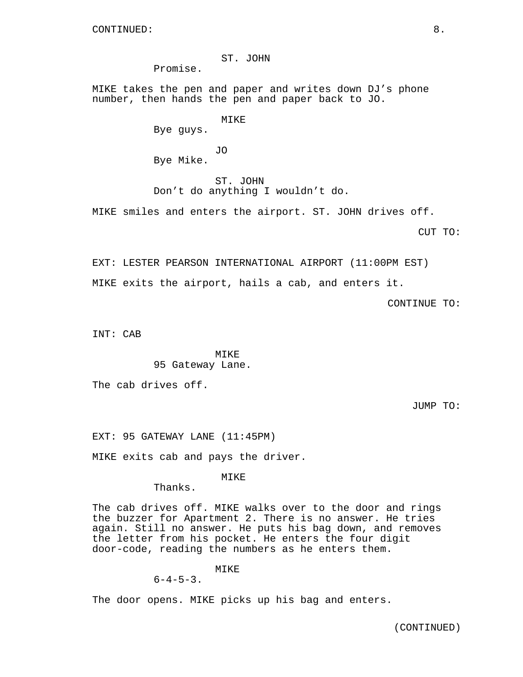## ST. JOHN

Promise.

MIKE takes the pen and paper and writes down DJ's phone number, then hands the pen and paper back to JO.

MIKE

Bye guys.

JO Bye Mike.

ST. JOHN Don't do anything I wouldn't do.

MIKE smiles and enters the airport. ST. JOHN drives off.

CUT TO:

EXT: LESTER PEARSON INTERNATIONAL AIRPORT (11:00PM EST) MIKE exits the airport, hails a cab, and enters it.

CONTINUE TO:

INT: CAB

MTK<sub>E</sub> 95 Gateway Lane.

The cab drives off.

JUMP TO:

EXT: 95 GATEWAY LANE (11:45PM)

MIKE exits cab and pays the driver.

MIKE

Thanks.

The cab drives off. MIKE walks over to the door and rings the buzzer for Apartment 2. There is no answer. He tries again. Still no answer. He puts his bag down, and removes the letter from his pocket. He enters the four digit door-code, reading the numbers as he enters them.

MIKE

 $6-4-5-3$ .

The door opens. MIKE picks up his bag and enters.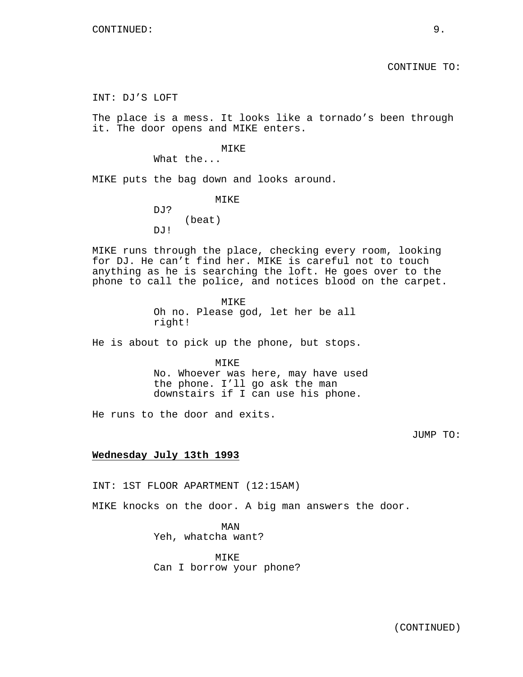INT: DJ'S LOFT

The place is a mess. It looks like a tornado's been through it. The door opens and MIKE enters.

MIKE

What the...

MIKE puts the bag down and looks around.

MIKE DJ? (beat) DJ!

MIKE runs through the place, checking every room, looking for DJ. He can't find her. MIKE is careful not to touch anything as he is searching the loft. He goes over to the phone to call the police, and notices blood on the carpet.

> MIKE Oh no. Please god, let her be all right!

He is about to pick up the phone, but stops.

MIKE No. Whoever was here, may have used the phone. I'll go ask the man downstairs if I can use his phone.

He runs to the door and exits.

JUMP TO:

#### **Wednesday July 13th 1993**

INT: 1ST FLOOR APARTMENT (12:15AM)

MIKE knocks on the door. A big man answers the door.

MAN Yeh, whatcha want?

MIKE Can I borrow your phone?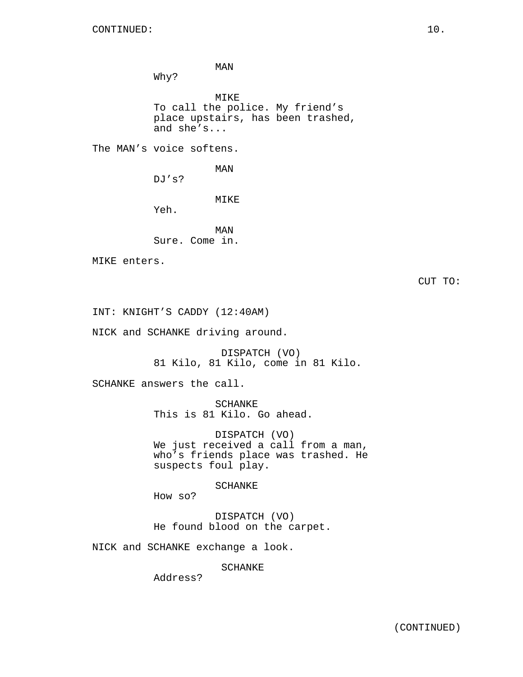MAN

Why?

MIKE To call the police. My friend's place upstairs, has been trashed, and she's...

The MAN's voice softens.

MAN

DJ's?

## MIKE

Yeh.

MAN Sure. Come in.

MIKE enters.

CUT TO:

INT: KNIGHT'S CADDY (12:40AM)

NICK and SCHANKE driving around.

DISPATCH (VO) 81 Kilo, 81 Kilo, come in 81 Kilo.

SCHANKE answers the call.

SCHANKE This is 81 Kilo. Go ahead.

DISPATCH (VO) We just received a call from a man, who's friends place was trashed. He suspects foul play.

SCHANKE

How so?

DISPATCH (VO) He found blood on the carpet.

NICK and SCHANKE exchange a look.

SCHANKE

Address?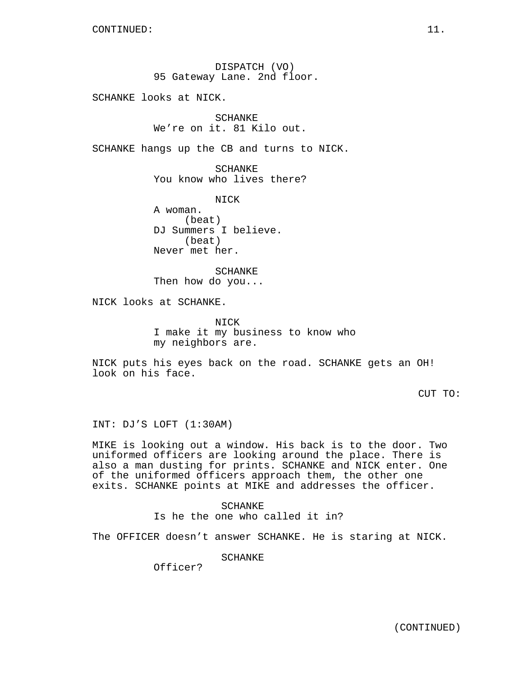DISPATCH (VO) 95 Gateway Lane. 2nd floor.

SCHANKE looks at NICK.

SCHANKE We're on it. 81 Kilo out.

SCHANKE hangs up the CB and turns to NICK.

SCHANKE You know who lives there?

NICK A woman. (beat) DJ Summers I believe. (beat) Never met her.

SCHANKE Then how do you...

NICK looks at SCHANKE.

NICK I make it my business to know who my neighbors are.

NICK puts his eyes back on the road. SCHANKE gets an OH! look on his face.

CUT TO:

INT: DJ'S LOFT (1:30AM)

MIKE is looking out a window. His back is to the door. Two uniformed officers are looking around the place. There is also a man dusting for prints. SCHANKE and NICK enter. One of the uniformed officers approach them, the other one exits. SCHANKE points at MIKE and addresses the officer.

> SCHANKE Is he the one who called it in?

The OFFICER doesn't answer SCHANKE. He is staring at NICK.

SCHANKE

Officer?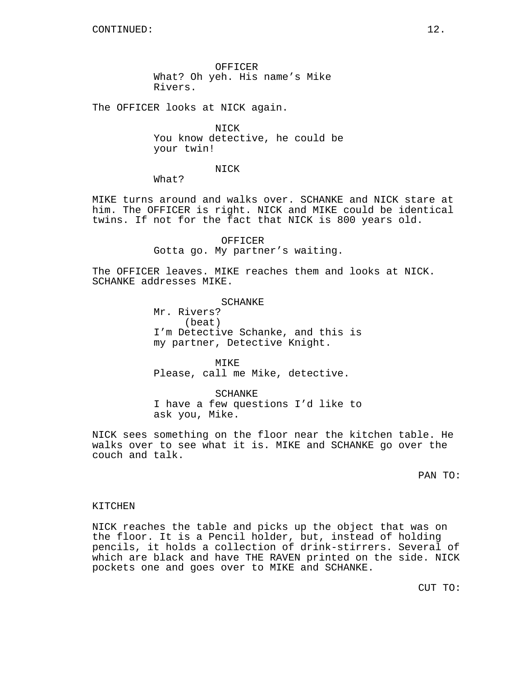OFFICER What? Oh yeh. His name's Mike Rivers.

The OFFICER looks at NICK again.

NICK You know detective, he could be your twin!

NICK

What?

MIKE turns around and walks over. SCHANKE and NICK stare at him. The OFFICER is right. NICK and MIKE could be identical twins. If not for the fact that NICK is 800 years old.

> **OFFICER** Gotta go. My partner's waiting.

The OFFICER leaves. MIKE reaches them and looks at NICK. SCHANKE addresses MIKE.

> SCHANKE Mr. Rivers? (beat) I'm Detective Schanke, and this is my partner, Detective Knight.

MIKE Please, call me Mike, detective.

SCHANKE I have a few questions I'd like to ask you, Mike.

NICK sees something on the floor near the kitchen table. He walks over to see what it is. MIKE and SCHANKE go over the couch and talk.

PAN TO:

## KITCHEN

NICK reaches the table and picks up the object that was on the floor. It is a Pencil holder, but, instead of holding pencils, it holds a collection of drink-stirrers. Several of which are black and have THE RAVEN printed on the side. NICK pockets one and goes over to MIKE and SCHANKE.

CUT TO: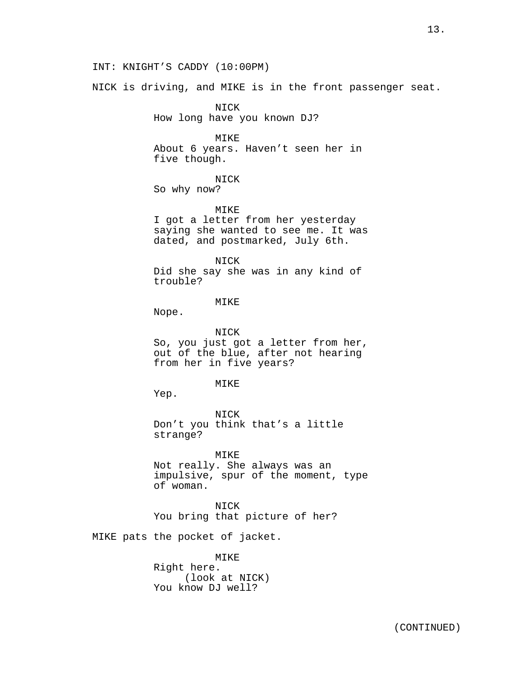NICK is driving, and MIKE is in the front passenger seat.

NICK How long have you known DJ?

MIKE About 6 years. Haven't seen her in five though.

NICK

So why now?

MIKE

I got a letter from her yesterday saying she wanted to see me. It was dated, and postmarked, July 6th.

NICK

Did she say she was in any kind of trouble?

#### MIKE

Nope.

NICK So, you just got a letter from her, out of the blue, after not hearing from her in five years?

## MIKE

Yep.

NICK Don't you think that's a little strange?

MIKE Not really. She always was an impulsive, spur of the moment, type of woman.

NICK You bring that picture of her?

MIKE pats the pocket of jacket.

MIKE Right here. (look at NICK) You know DJ well?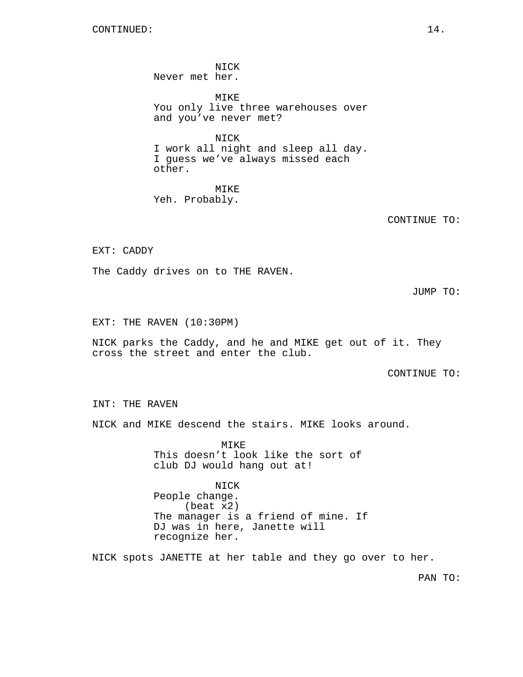NICK Never met her.

MIKE You only live three warehouses over and you've never met?

NICK I work all night and sleep all day. I guess we've always missed each other.

MIKE Yeh. Probably.

CONTINUE TO:

EXT: CADDY

The Caddy drives on to THE RAVEN.

JUMP TO:

EXT: THE RAVEN (10:30PM)

NICK parks the Caddy, and he and MIKE get out of it. They cross the street and enter the club.

CONTINUE TO:

INT: THE RAVEN

NICK and MIKE descend the stairs. MIKE looks around.

**MTKE** This doesn't look like the sort of club DJ would hang out at!

NICK People change. (beat x2) The manager is a friend of mine. If DJ was in here, Janette will recognize her.

NICK spots JANETTE at her table and they go over to her.

PAN TO: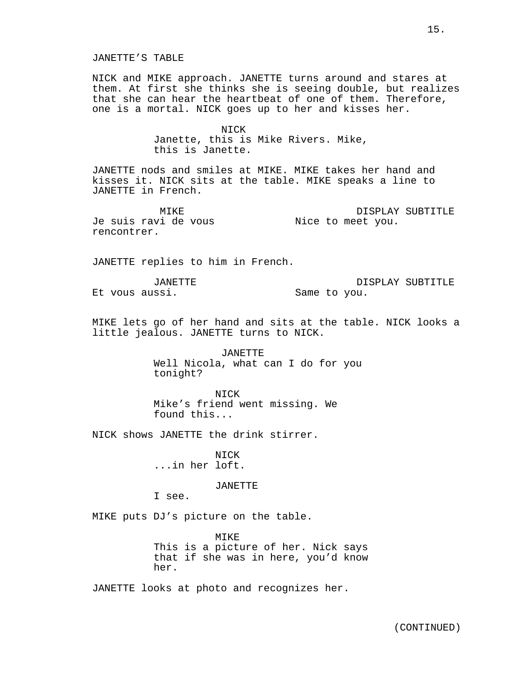NICK and MIKE approach. JANETTE turns around and stares at them. At first she thinks she is seeing double, but realizes that she can hear the heartbeat of one of them. Therefore, one is a mortal. NICK goes up to her and kisses her.

> **NTCK** Janette, this is Mike Rivers. Mike, this is Janette.

JANETTE nods and smiles at MIKE. MIKE takes her hand and kisses it. NICK sits at the table. MIKE speaks a line to JANETTE in French.

MIKE Je suis ravi de vous Nice to meet you. rencontrer. DISPLAY SUBTITLE

JANETTE replies to him in French.

JANETTE Et vous aussi.

DISPLAY SUBTITLE Same to you.

MIKE lets go of her hand and sits at the table. NICK looks a little jealous. JANETTE turns to NICK.

> JANETTE Well Nicola, what can I do for you tonight?

NICK Mike's friend went missing. We found this...

NICK shows JANETTE the drink stirrer.

NICK ...in her loft.

JANETTE

I see.

MIKE puts DJ's picture on the table.

MIKE This is a picture of her. Nick says that if she was in here, you'd know her.

JANETTE looks at photo and recognizes her.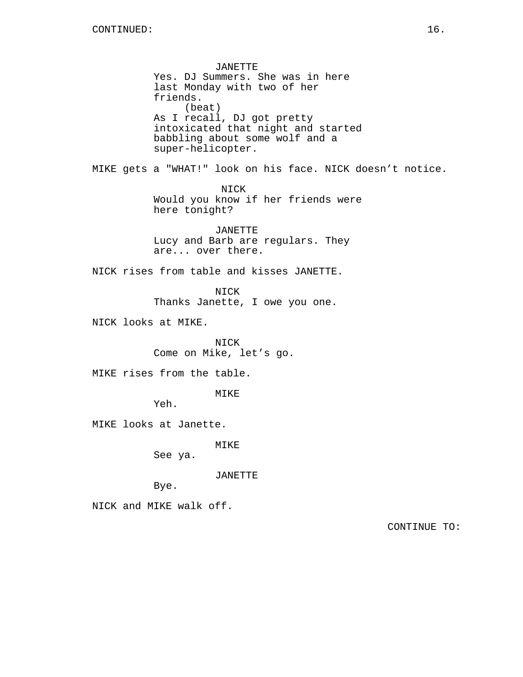JANETTE Yes. DJ Summers. She was in here last Monday with two of her friends. (beat) As I recall, DJ got pretty intoxicated that night and started babbling about some wolf and a super-helicopter. MIKE gets a "WHAT!" look on his face. NICK doesn't notice. NICK Would you know if her friends were here tonight? JANETTE Lucy and Barb are regulars. They are... over there. NICK rises from table and kisses JANETTE. NICK Thanks Janette, I owe you one. NICK looks at MIKE. NICK Come on Mike, let's go. MIKE rises from the table. MIKE Yeh. MIKE looks at Janette. MIKE See ya. JANETTE Bye. NICK and MIKE walk off. CONTINUE TO: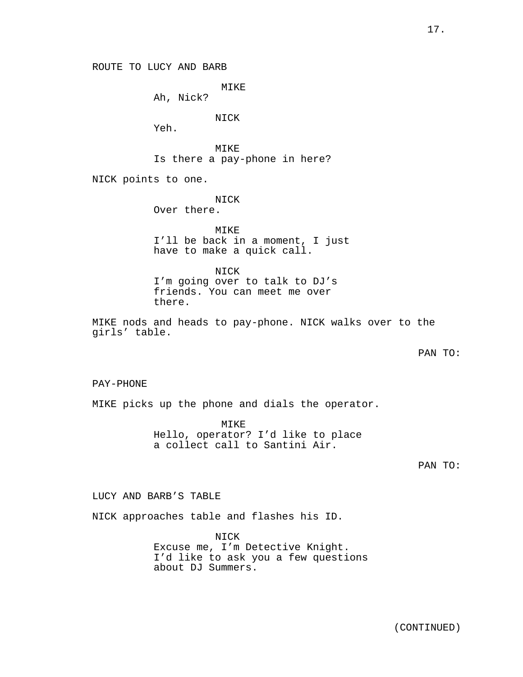ROUTE TO LUCY AND BARB

MIKE

Ah, Nick?

NICK

Yeh.

MIKE Is there a pay-phone in here?

NICK points to one.

NICK Over there.

MIKE I'll be back in a moment, I just have to make a quick call.

NICK I'm going over to talk to DJ's friends. You can meet me over there.

MIKE nods and heads to pay-phone. NICK walks over to the girls' table.

PAN TO:

PAY-PHONE

MIKE picks up the phone and dials the operator.

MIKE Hello, operator? I'd like to place a collect call to Santini Air.

PAN TO:

LUCY AND BARB'S TABLE

NICK approaches table and flashes his ID.

NICK Excuse me, I'm Detective Knight. I'd like to ask you a few questions about DJ Summers.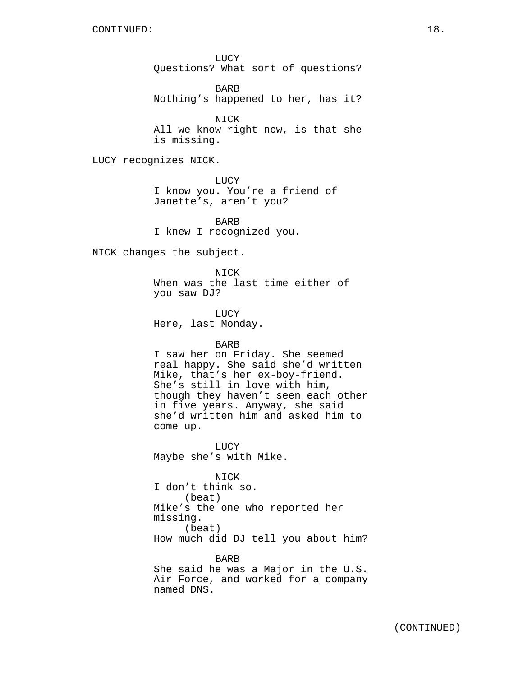LUCY Questions? What sort of questions?

BARB Nothing's happened to her, has it?

NICK All we know right now, is that she is missing.

LUCY recognizes NICK.

LUCY I know you. You're a friend of Janette's, aren't you?

BARB I knew I recognized you.

NICK changes the subject.

NICK When was the last time either of you saw DJ?

LUCY Here, last Monday.

## BARB

I saw her on Friday. She seemed real happy. She said she'd written Mike, that's her ex-boy-friend. She's still in love with him, though they haven't seen each other in five years. Anyway, she said she'd written him and asked him to come up.

LUCY Maybe she's with Mike.

NICK I don't think so. (beat) Mike's the one who reported her missing. (beat) How much did DJ tell you about him?

BARB She said he was a Major in the U.S. Air Force, and worked for a company named DNS.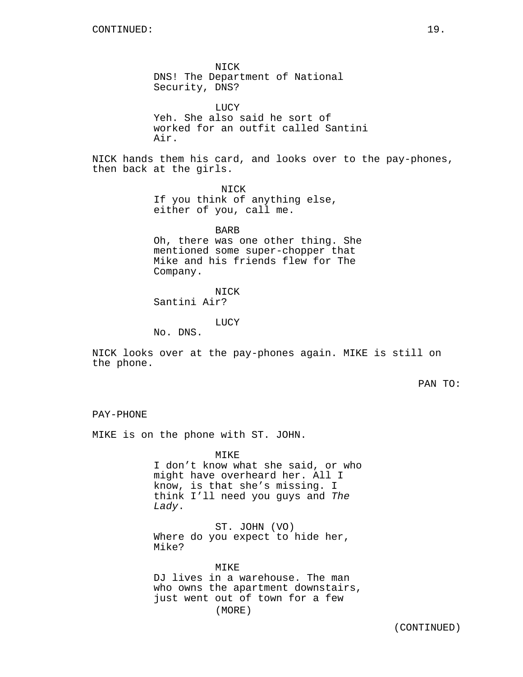NICK DNS! The Department of National Security, DNS?

LUCY Yeh. She also said he sort of worked for an outfit called Santini Air.

NICK hands them his card, and looks over to the pay-phones, then back at the girls.

> NICK If you think of anything else, either of you, call me.

> > BARB

Oh, there was one other thing. She mentioned some super-chopper that Mike and his friends flew for The Company.

NICK

Santini Air?

LUCY

No. DNS.

NICK looks over at the pay-phones again. MIKE is still on the phone.

PAN TO:

```
PAY-PHONE
```
MIKE is on the phone with ST. JOHN.

MIKE I don't know what she said, or who might have overheard her. All I know, is that she's missing. I think I'll need you guys and The Lady.

ST. JOHN (VO) Where do you expect to hide her, Mike?

MIKE DJ lives in a warehouse. The man who owns the apartment downstairs, just went out of town for a few (MORE)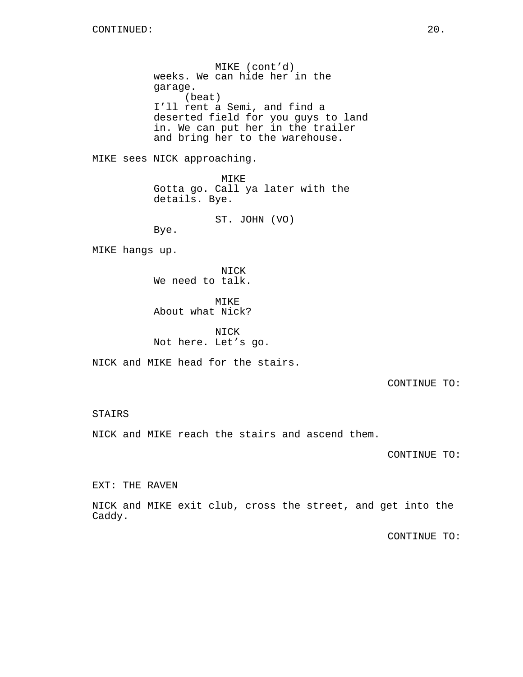MIKE (cont'd) weeks. We can hide her in the garage. (beat) I'll rent a Semi, and find a deserted field for you guys to land in. We can put her in the trailer and bring her to the warehouse.

MIKE sees NICK approaching.

MIKE Gotta go. Call ya later with the details. Bye.

ST. JOHN (VO)

Bye.

MIKE hangs up.

NICK We need to talk.

MIKE About what Nick?

NICK Not here. Let's go.

NICK and MIKE head for the stairs.

CONTINUE TO:

## STAIRS

NICK and MIKE reach the stairs and ascend them.

CONTINUE TO:

EXT: THE RAVEN

NICK and MIKE exit club, cross the street, and get into the Caddy.

CONTINUE TO: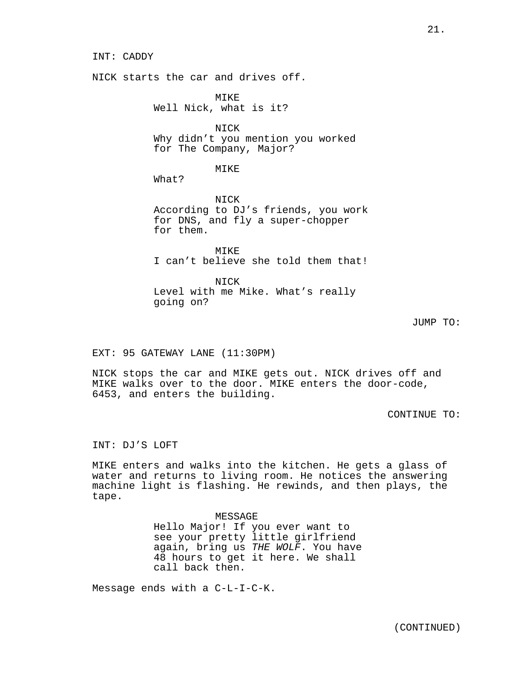INT: CADDY

NICK starts the car and drives off.

MTK<sub>F</sub> Well Nick, what is it?

NICK Why didn't you mention you worked for The Company, Major?

MIKE

What?

NICK According to DJ's friends, you work for DNS, and fly a super-chopper for them.

MIKE I can't believe she told them that!

NICK Level with me Mike. What's really going on?

JUMP TO:

EXT: 95 GATEWAY LANE (11:30PM)

NICK stops the car and MIKE gets out. NICK drives off and MIKE walks over to the door. MIKE enters the door-code, 6453, and enters the building.

CONTINUE TO:

INT: DJ'S LOFT

MIKE enters and walks into the kitchen. He gets a glass of water and returns to living room. He notices the answering machine light is flashing. He rewinds, and then plays, the tape.

> MESSAGE Hello Major! If you ever want to see your pretty little girlfriend again, bring us THE WOLF. You have 48 hours to get it here. We shall call back then.

Message ends with a C-L-I-C-K.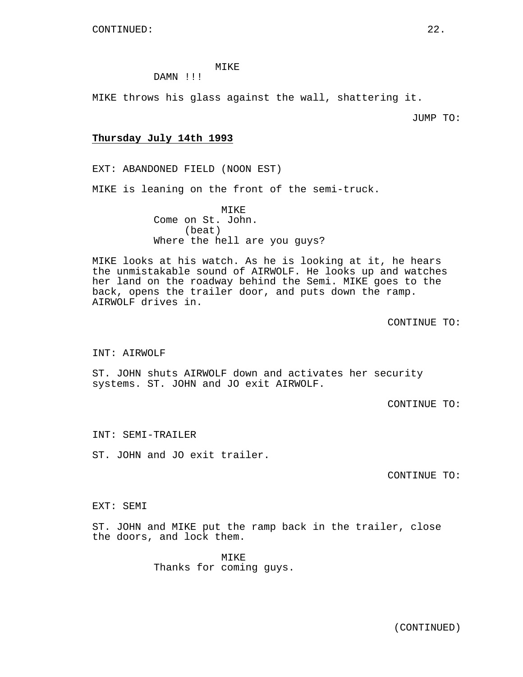## MIKE

# DAMN !!!

MIKE throws his glass against the wall, shattering it.

JUMP TO:

## **Thursday July 14th 1993**

EXT: ABANDONED FIELD (NOON EST)

MIKE is leaning on the front of the semi-truck.

MIKE Come on St. John. (beat) Where the hell are you quys?

MIKE looks at his watch. As he is looking at it, he hears the unmistakable sound of AIRWOLF. He looks up and watches her land on the roadway behind the Semi. MIKE goes to the back, opens the trailer door, and puts down the ramp. AIRWOLF drives in.

CONTINUE TO:

#### INT: AIRWOLF

ST. JOHN shuts AIRWOLF down and activates her security systems. ST. JOHN and JO exit AIRWOLF.

CONTINUE TO:

INT: SEMI-TRAILER

ST. JOHN and JO exit trailer.

CONTINUE TO:

## EXT: SEMI

ST. JOHN and MIKE put the ramp back in the trailer, close the doors, and lock them.

> MIKE Thanks for coming guys.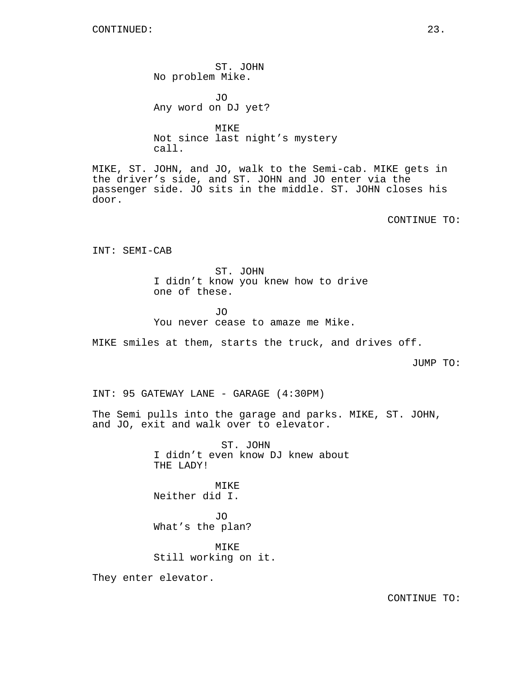ST. JOHN No problem Mike.

JO Any word on DJ yet?

MIKE Not since last night's mystery call.

MIKE, ST. JOHN, and JO, walk to the Semi-cab. MIKE gets in the driver's side, and ST. JOHN and JO enter via the passenger side. JO sits in the middle. ST. JOHN closes his door.

CONTINUE TO:

INT: SEMI-CAB

ST. JOHN I didn't know you knew how to drive one of these.

JO You never cease to amaze me Mike.

MIKE smiles at them, starts the truck, and drives off.

JUMP TO:

INT: 95 GATEWAY LANE - GARAGE (4:30PM)

The Semi pulls into the garage and parks. MIKE, ST. JOHN, and JO, exit and walk over to elevator.

> ST. JOHN I didn't even know DJ knew about THE LADY!

MIKE Neither did I.

JO What's the plan?

MIKE Still working on it.

They enter elevator.

CONTINUE TO: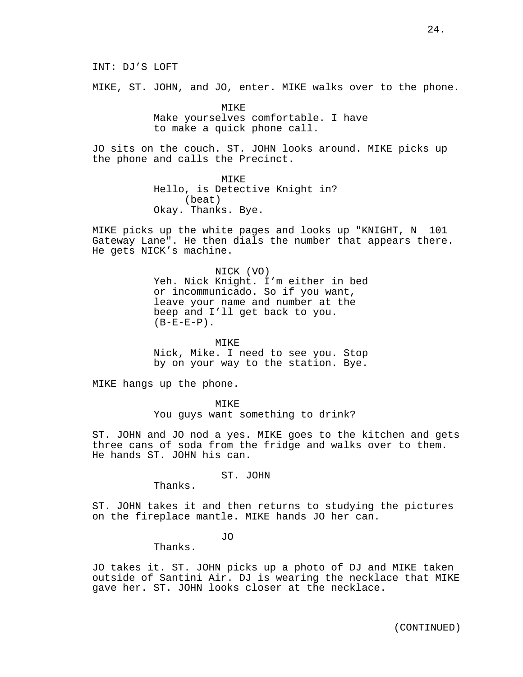INT: DJ'S LOFT

MIKE, ST. JOHN, and JO, enter. MIKE walks over to the phone.

MIKE Make yourselves comfortable. I have to make a quick phone call.

JO sits on the couch. ST. JOHN looks around. MIKE picks up the phone and calls the Precinct.

> MIKE Hello, is Detective Knight in? (beat) Okay. Thanks. Bye.

MIKE picks up the white pages and looks up "KNIGHT, N 101 Gateway Lane". He then dials the number that appears there. He gets NICK's machine.

> NICK (VO) Yeh. Nick Knight. I'm either in bed or incommunicado. So if you want, leave your name and number at the beep and I'll get back to you.  $(B-E-E-P)$ .

> MIKE Nick, Mike. I need to see you. Stop by on your way to the station. Bye.

MIKE hangs up the phone.

MIKE You guys want something to drink?

ST. JOHN and JO nod a yes. MIKE goes to the kitchen and gets three cans of soda from the fridge and walks over to them. He hands ST. JOHN his can.

ST. JOHN

Thanks.

ST. JOHN takes it and then returns to studying the pictures on the fireplace mantle. MIKE hands JO her can.

JO

Thanks.

JO takes it. ST. JOHN picks up a photo of DJ and MIKE taken outside of Santini Air. DJ is wearing the necklace that MIKE gave her. ST. JOHN looks closer at the necklace.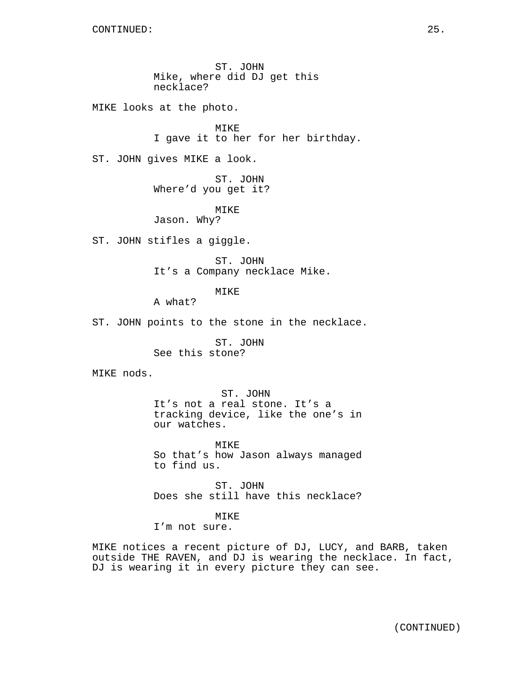ST. JOHN Mike, where did DJ get this necklace?

MIKE looks at the photo.

MIKE I gave it to her for her birthday.

ST. JOHN gives MIKE a look.

ST. JOHN Where'd you get it?

MIKE

Jason. Why?

ST. JOHN stifles a giggle.

ST. JOHN It's a Company necklace Mike.

MIKE

A what?

ST. JOHN points to the stone in the necklace.

ST. JOHN See this stone?

MIKE nods.

ST. JOHN It's not a real stone. It's a tracking device, like the one's in our watches.

MIKE So that's how Jason always managed to find us.

ST. JOHN Does she still have this necklace?

MIKE

I'm not sure.

MIKE notices a recent picture of DJ, LUCY, and BARB, taken outside THE RAVEN, and DJ is wearing the necklace. In fact, DJ is wearing it in every picture they can see.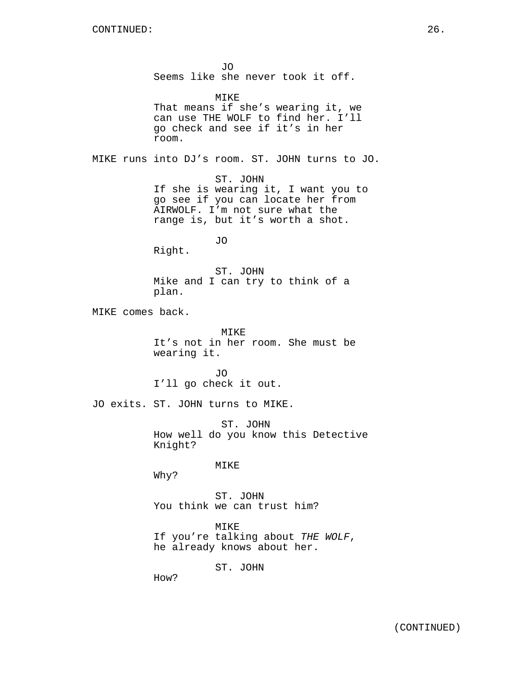JO Seems like she never took it off. MIKE That means if she's wearing it, we can use THE WOLF to find her. I'll go check and see if it's in her room. MIKE runs into DJ's room. ST. JOHN turns to JO. ST. JOHN If she is wearing it, I want you to go see if you can locate her from AIRWOLF. I'm not sure what the range is, but it's worth a shot. JO Right. ST. JOHN Mike and I can try to think of a plan. MIKE comes back. MIKE It's not in her room. She must be wearing it. JO I'll go check it out. JO exits. ST. JOHN turns to MIKE. ST. JOHN How well do you know this Detective Knight? MIKE Why? ST. JOHN You think we can trust him? MIKE If you're talking about THE WOLF, he already knows about her. ST. JOHN How?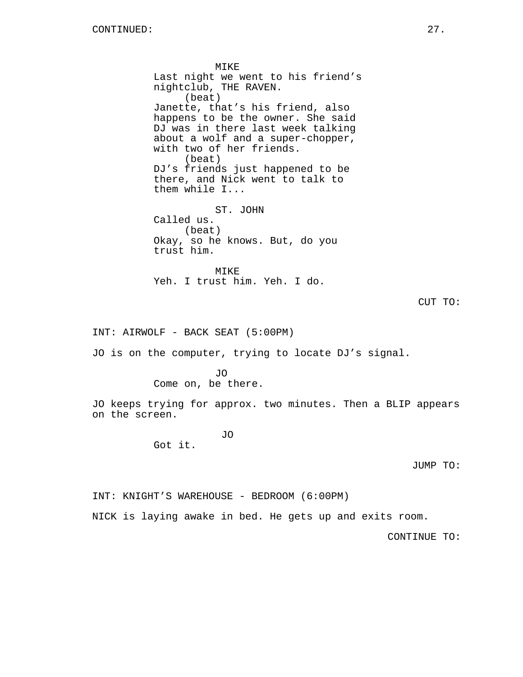MIKE Last night we went to his friend's nightclub, THE RAVEN. (beat) Janette, that's his friend, also happens to be the owner. She said DJ was in there last week talking about a wolf and a super-chopper, with two of her friends. (beat) DJ's friends just happened to be there, and Nick went to talk to them while I... ST. JOHN Called us. (beat) Okay, so he knows. But, do you trust him.

MIKE Yeh. I trust him. Yeh. I do.

```
CUT TO:
```
INT: AIRWOLF - BACK SEAT (5:00PM)

JO is on the computer, trying to locate DJ's signal.

 $\overline{J}$ O Come on, be there.

JO keeps trying for approx. two minutes. Then a BLIP appears on the screen.

JO

Got it.

JUMP TO:

INT: KNIGHT'S WAREHOUSE - BEDROOM (6:00PM)

NICK is laying awake in bed. He gets up and exits room.

CONTINUE TO: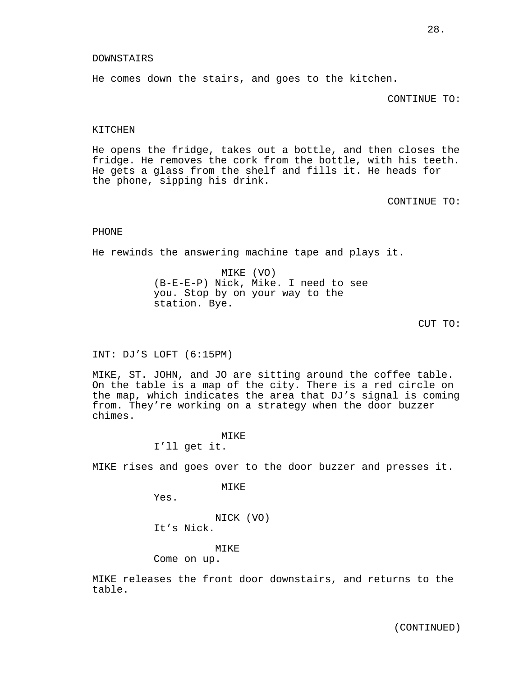#### DOWNSTAIRS

He comes down the stairs, and goes to the kitchen.

CONTINUE TO:

#### KITCHEN

He opens the fridge, takes out a bottle, and then closes the fridge. He removes the cork from the bottle, with his teeth. He gets a glass from the shelf and fills it. He heads for the phone, sipping his drink.

CONTINUE TO:

#### PHONE

He rewinds the answering machine tape and plays it.

MIKE (VO) (B-E-E-P) Nick, Mike. I need to see you. Stop by on your way to the station. Bye.

```
CUT TO:
```
INT: DJ'S LOFT (6:15PM)

MIKE, ST. JOHN, and JO are sitting around the coffee table. On the table is a map of the city. There is a red circle on the map, which indicates the area that DJ's signal is coming from. They're working on a strategy when the door buzzer chimes.

# MIKE

I'll get it.

MIKE rises and goes over to the door buzzer and presses it.

MIKE

Yes.

NICK (VO) It's Nick.

MIKE

Come on up.

MIKE releases the front door downstairs, and returns to the table.

(CONTINUED)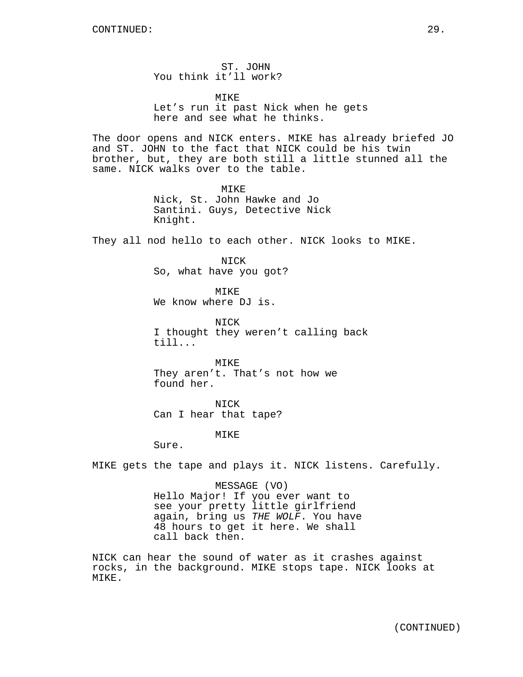ST. JOHN You think it'll work?

MIKE Let's run it past Nick when he gets here and see what he thinks.

The door opens and NICK enters. MIKE has already briefed JO and ST. JOHN to the fact that NICK could be his twin brother, but, they are both still a little stunned all the same. NICK walks over to the table.

> MIKE Nick, St. John Hawke and Jo Santini. Guys, Detective Nick Knight.

They all nod hello to each other. NICK looks to MIKE.

NICK So, what have you got?

MIKE We know where DJ is.

NICK I thought they weren't calling back till...

MIKE They aren't. That's not how we found her.

NICK Can I hear that tape?

MIKE

Sure.

MIKE gets the tape and plays it. NICK listens. Carefully.

MESSAGE (VO) Hello Major! If you ever want to see your pretty little girlfriend again, bring us THE WOLF. You have 48 hours to get it here. We shall call back then.

NICK can hear the sound of water as it crashes against rocks, in the background. MIKE stops tape. NICK looks at MIKE.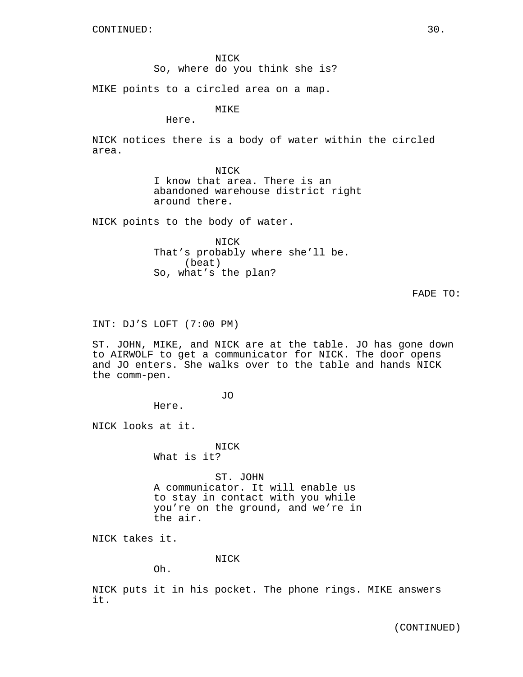NICK So, where do you think she is?

MIKE points to a circled area on a map.

MIKE

Here.

NICK notices there is a body of water within the circled area.

> NICK I know that area. There is an abandoned warehouse district right around there.

NICK points to the body of water.

NICK That's probably where she'll be. (beat) So, what's the plan?

FADE TO:

INT: DJ'S LOFT (7:00 PM)

ST. JOHN, MIKE, and NICK are at the table. JO has gone down to AIRWOLF to get a communicator for NICK. The door opens and JO enters. She walks over to the table and hands NICK the comm-pen.

JO

Here.

NICK looks at it.

NICK What is it?

ST. JOHN A communicator. It will enable us to stay in contact with you while you're on the ground, and we're in the air.

NICK takes it.

## NICK

Oh.

NICK puts it in his pocket. The phone rings. MIKE answers it.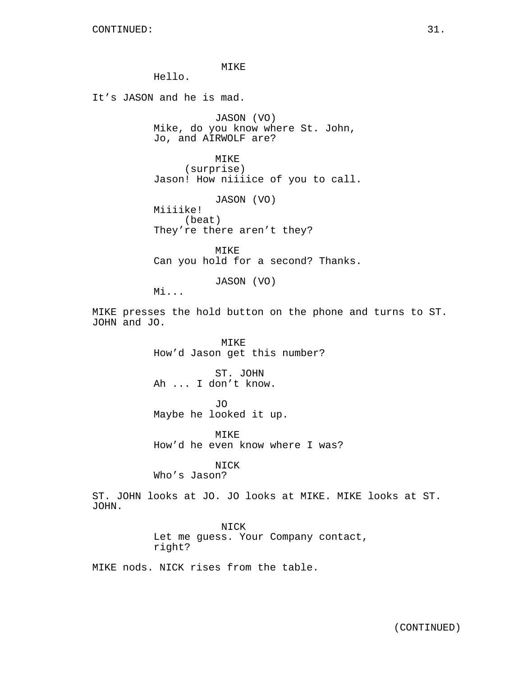MIKE

Hello.

It's JASON and he is mad.

JASON (VO) Mike, do you know where St. John, Jo, and AIRWOLF are?

MIKE (surprise) Jason! How niiiice of you to call.

JASON (VO) Miiiike! (beat) They're there aren't they?

MIKE Can you hold for a second? Thanks.

JASON (VO)

Mi...

MIKE presses the hold button on the phone and turns to ST. JOHN and JO.

> MIKE How'd Jason get this number?

ST. JOHN Ah ... I don't know.

JO Maybe he looked it up.

MIKE How'd he even know where I was?

NICK Who's Jason?

ST. JOHN looks at JO. JO looks at MIKE. MIKE looks at ST. JOHN.

> NICK Let me guess. Your Company contact, right?

MIKE nods. NICK rises from the table.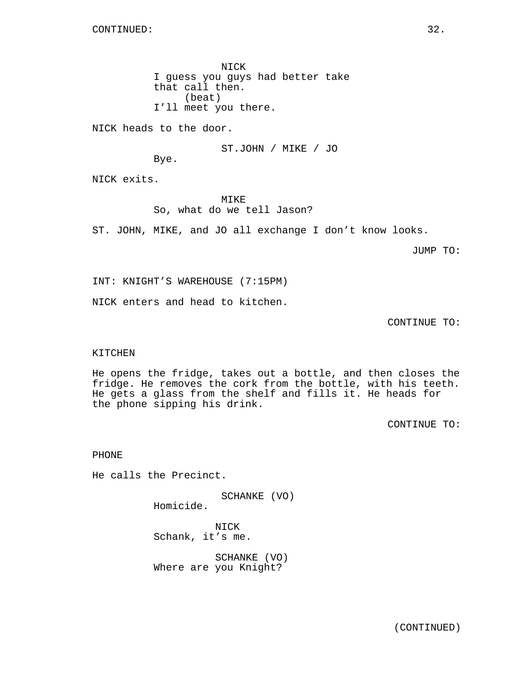NICK I guess you guys had better take that call then. (beat) I'll meet you there.

NICK heads to the door.

ST.JOHN / MIKE / JO

Bye.

NICK exits.

MIKE So, what do we tell Jason?

ST. JOHN, MIKE, and JO all exchange I don't know looks.

JUMP TO:

INT: KNIGHT'S WAREHOUSE (7:15PM)

NICK enters and head to kitchen.

CONTINUE TO:

#### KITCHEN

He opens the fridge, takes out a bottle, and then closes the fridge. He removes the cork from the bottle, with his teeth. He gets a glass from the shelf and fills it. He heads for the phone sipping his drink.

CONTINUE TO:

PHONE

He calls the Precinct.

SCHANKE (VO)

Homicide.

NICK Schank, it's me.

SCHANKE (VO) Where are you Knight?

(CONTINUED)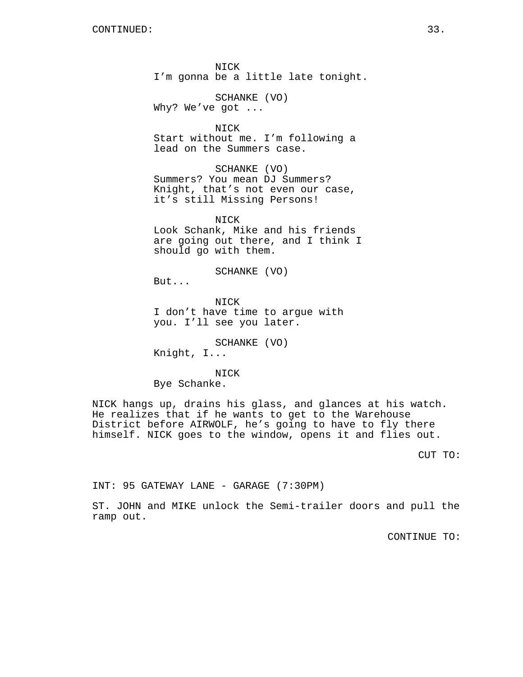NICK I'm gonna be a little late tonight.

SCHANKE (VO)

Why? We've got ...

NICK Start without me. I'm following a lead on the Summers case.

SCHANKE (VO) Summers? You mean DJ Summers? Knight, that's not even our case, it's still Missing Persons!

NICK Look Schank, Mike and his friends are going out there, and I think I should go with them.

SCHANKE (VO)

But...

NICK I don't have time to argue with you. I'll see you later.

SCHANKE (VO) Knight, I...

NICK Bye Schanke.

NICK hangs up, drains his glass, and glances at his watch. He realizes that if he wants to get to the Warehouse District before AIRWOLF, he's going to have to fly there himself. NICK goes to the window, opens it and flies out.

CUT TO:

INT: 95 GATEWAY LANE - GARAGE (7:30PM)

ST. JOHN and MIKE unlock the Semi-trailer doors and pull the ramp out.

CONTINUE TO: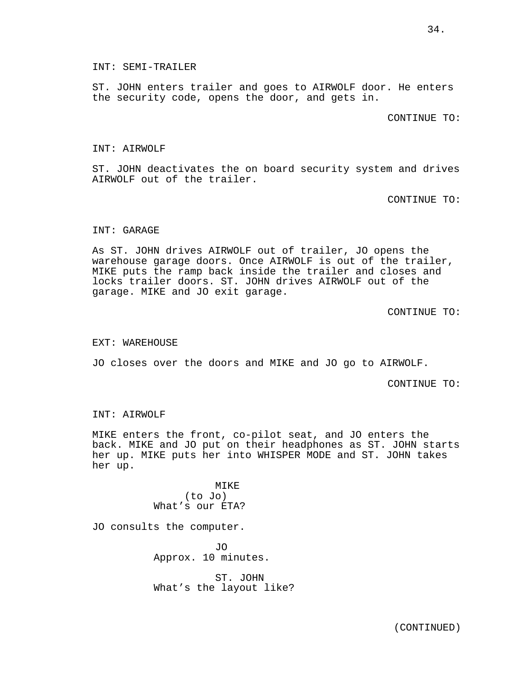INT: SEMI-TRAILER

ST. JOHN enters trailer and goes to AIRWOLF door. He enters the security code, opens the door, and gets in.

CONTINUE TO:

#### INT: AIRWOLF

ST. JOHN deactivates the on board security system and drives AIRWOLF out of the trailer.

CONTINUE TO:

## INT: GARAGE

As ST. JOHN drives AIRWOLF out of trailer, JO opens the warehouse garage doors. Once AIRWOLF is out of the trailer, MIKE puts the ramp back inside the trailer and closes and locks trailer doors. ST. JOHN drives AIRWOLF out of the garage. MIKE and JO exit garage.

CONTINUE TO:

#### EXT: WAREHOUSE

JO closes over the doors and MIKE and JO go to AIRWOLF.

CONTINUE TO:

#### INT: AIRWOLF

MIKE enters the front, co-pilot seat, and JO enters the back. MIKE and JO put on their headphones as ST. JOHN starts her up. MIKE puts her into WHISPER MODE and ST. JOHN takes her up.

> MIKE (to Jo) What's our ETA?

JO consults the computer.

JO Approx. 10 minutes.

ST. JOHN What's the layout like?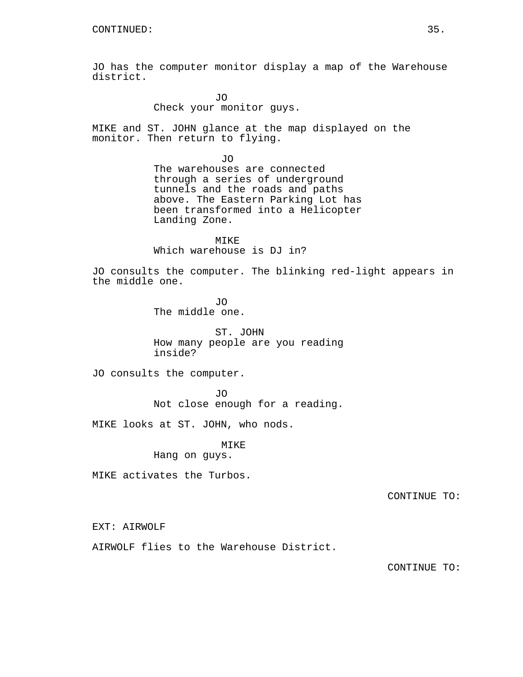JO has the computer monitor display a map of the Warehouse district.

> JO Check your monitor guys.

MIKE and ST. JOHN glance at the map displayed on the monitor. Then return to flying.

> JO The warehouses are connected through a series of underground tunnels and the roads and paths above. The Eastern Parking Lot has been transformed into a Helicopter Landing Zone.

MIKE Which warehouse is DJ in?

JO consults the computer. The blinking red-light appears in the middle one.

> JO The middle one.

ST. JOHN How many people are you reading inside?

JO consults the computer.

JO Not close enough for a reading.

MIKE looks at ST. JOHN, who nods.

MIKE

Hang on guys.

MIKE activates the Turbos.

CONTINUE TO:

EXT: AIRWOLF

AIRWOLF flies to the Warehouse District.

CONTINUE TO: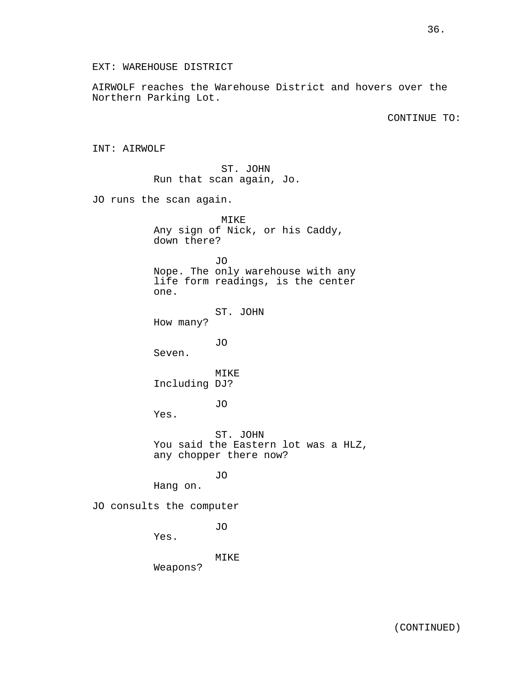EXT: WAREHOUSE DISTRICT

AIRWOLF reaches the Warehouse District and hovers over the Northern Parking Lot.

CONTINUE TO:

INT: AIRWOLF

ST. JOHN Run that scan again, Jo.

JO runs the scan again.

MIKE Any sign of Nick, or his Caddy, down there? JO Nope. The only warehouse with any life form readings, is the center one. ST. JOHN How many? JO Seven. MIKE Including DJ? JO Yes. ST. JOHN You said the Eastern lot was a HLZ, any chopper there now? JO Hang on. JO consults the computer JO Yes. MIKE

Weapons?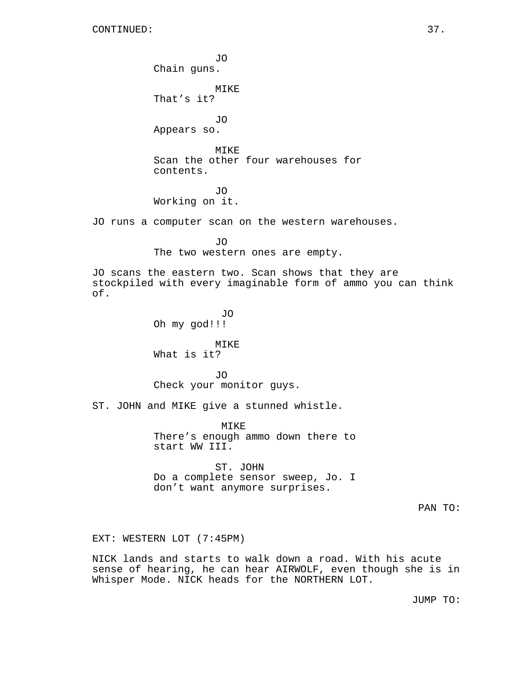JO Chain guns. MIKE That's it? JO Appears so. MIKE Scan the other four warehouses for contents. JO Working on it. JO runs a computer scan on the western warehouses. JO The two western ones are empty. JO scans the eastern two. Scan shows that they are stockpiled with every imaginable form of ammo you can think of. JO Oh my god!!! MIKE What is it? JO Check your monitor guys. ST. JOHN and MIKE give a stunned whistle. MIKE There's enough ammo down there to start WW III. ST. JOHN Do a complete sensor sweep, Jo. I don't want anymore surprises. PAN TO: EXT: WESTERN LOT (7:45PM)

NICK lands and starts to walk down a road. With his acute sense of hearing, he can hear AIRWOLF, even though she is in Whisper Mode. NICK heads for the NORTHERN LOT.

JUMP TO: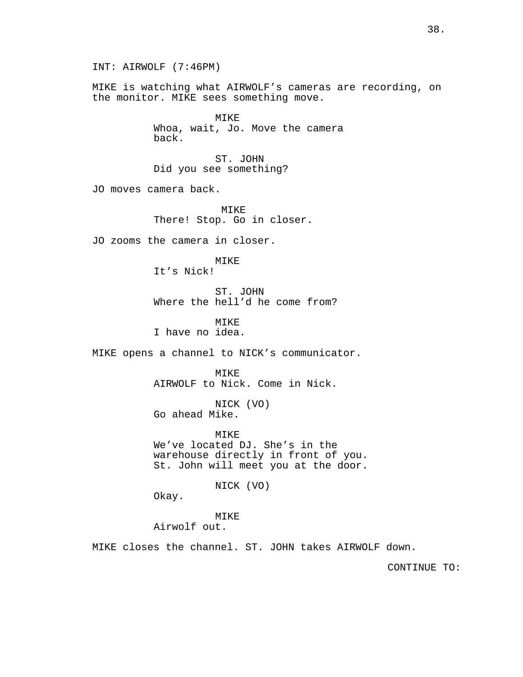INT: AIRWOLF (7:46PM) MIKE is watching what AIRWOLF's cameras are recording, on the monitor. MIKE sees something move. MIKE Whoa, wait, Jo. Move the camera back. ST. JOHN Did you see something? JO moves camera back. MIKE There! Stop. Go in closer. JO zooms the camera in closer. MIKE It's Nick! ST. JOHN Where the hell'd he come from? MIKE I have no idea. MIKE opens a channel to NICK's communicator. MTKE<sup>®</sup> AIRWOLF to Nick. Come in Nick. NICK (VO) Go ahead Mike. MIKE We've located DJ. She's in the warehouse directly in front of you. St. John will meet you at the door. NICK (VO) Okay. MIKE Airwolf out. MIKE closes the channel. ST. JOHN takes AIRWOLF down. CONTINUE TO:

38.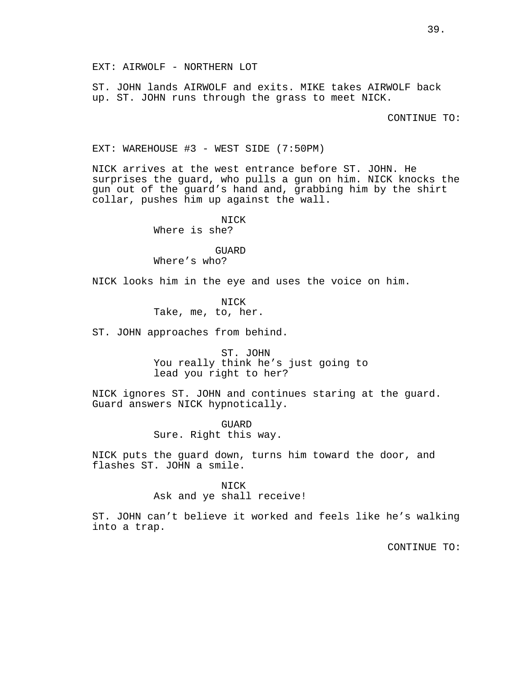EXT: AIRWOLF - NORTHERN LOT

ST. JOHN lands AIRWOLF and exits. MIKE takes AIRWOLF back up. ST. JOHN runs through the grass to meet NICK.

CONTINUE TO:

EXT: WAREHOUSE #3 - WEST SIDE (7:50PM)

NICK arrives at the west entrance before ST. JOHN. He surprises the guard, who pulls a gun on him. NICK knocks the gun out of the guard's hand and, grabbing him by the shirt collar, pushes him up against the wall.

> NICK Where is she?

> > GUARD

Where's who?

NICK looks him in the eye and uses the voice on him.

NICK Take, me, to, her.

ST. JOHN approaches from behind.

ST. JOHN You really think he's just going to lead you right to her?

NICK ignores ST. JOHN and continues staring at the guard. Guard answers NICK hypnotically.

> GUARD Sure. Right this way.

NICK puts the guard down, turns him toward the door, and flashes ST. JOHN a smile.

## **NTCK**

Ask and ye shall receive!

ST. JOHN can't believe it worked and feels like he's walking into a trap.

CONTINUE TO: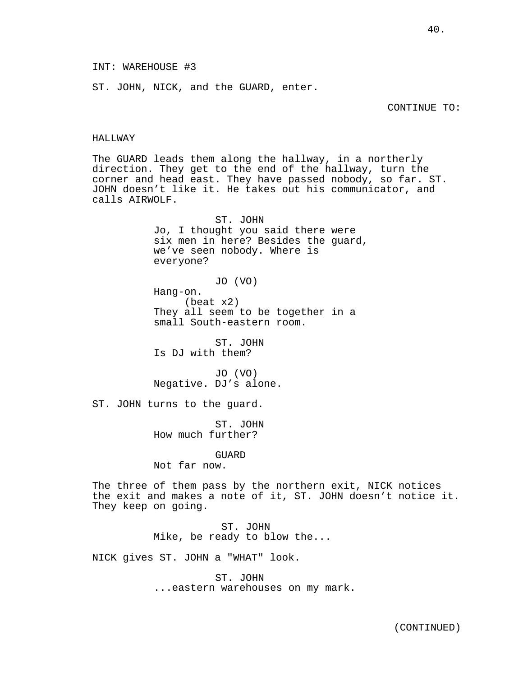ST. JOHN, NICK, and the GUARD, enter.

#### HALLWAY

The GUARD leads them along the hallway, in a northerly direction. They get to the end of the hallway, turn the corner and head east. They have passed nobody, so far. ST. JOHN doesn't like it. He takes out his communicator, and calls AIRWOLF.

> ST. JOHN Jo, I thought you said there were six men in here? Besides the guard, we've seen nobody. Where is everyone?

JO (VO) Hang-on. (beat x2) They all seem to be together in a small South-eastern room.

ST. JOHN Is DJ with them?

JO (VO) Negative. DJ's alone.

ST. JOHN turns to the guard.

ST. JOHN How much further?

## GUARD

Not far now.

The three of them pass by the northern exit, NICK notices the exit and makes a note of it, ST. JOHN doesn't notice it. They keep on going.

> ST. JOHN Mike, be ready to blow the...

NICK gives ST. JOHN a "WHAT" look.

ST. JOHN ...eastern warehouses on my mark.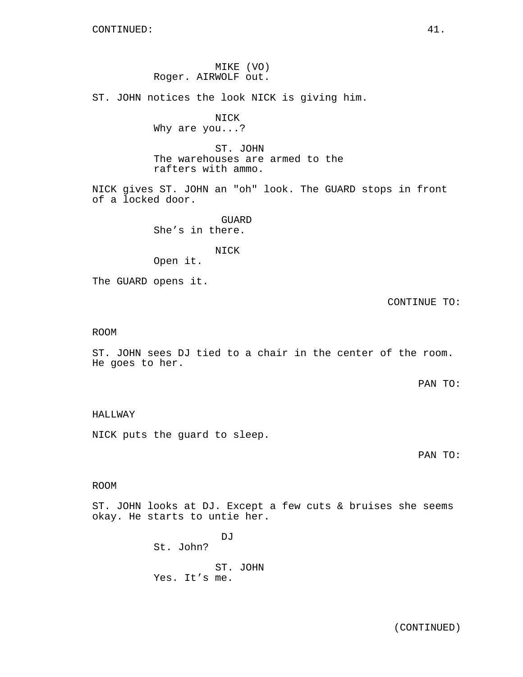## MIKE (VO) Roger. AIRWOLF out.

ST. JOHN notices the look NICK is giving him.

# NICK

Why are you...?

ST. JOHN The warehouses are armed to the rafters with ammo.

NICK gives ST. JOHN an "oh" look. The GUARD stops in front of a locked door.

> GUARD She's in there.

NICK Open it.

The GUARD opens it.

## CONTINUE TO:

#### ROOM

ST. JOHN sees DJ tied to a chair in the center of the room. He goes to her.

PAN TO:

## HALLWAY

NICK puts the guard to sleep.

PAN TO:

## ROOM

ST. JOHN looks at DJ. Except a few cuts & bruises she seems okay. He starts to untie her.

> DJ St. John? ST. JOHN Yes. It's me.

> > (CONTINUED)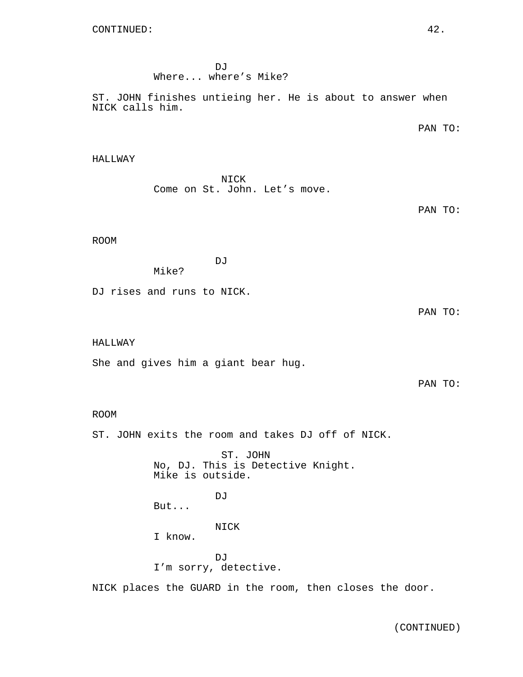DJ Where... where's Mike?

ST. JOHN finishes untieing her. He is about to answer when NICK calls him.

PAN TO:

### HALLWAY

NICK Come on St. John. Let's move.

PAN TO:

## ROOM

DJ

Mike?

DJ rises and runs to NICK.

PAN TO:

### HALLWAY

She and gives him a giant bear hug.

PAN TO:

### ROOM

ST. JOHN exits the room and takes DJ off of NICK.

ST. JOHN No, DJ. This is Detective Knight. Mike is outside. DJ But... NICK I know. DJ<sub>J</sub> I'm sorry, detective.

NICK places the GUARD in the room, then closes the door.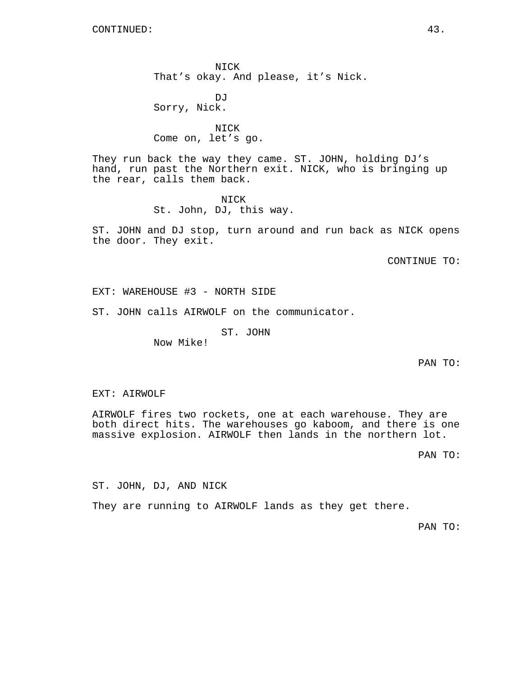NICK That's okay. And please, it's Nick.

DJ Sorry, Nick.

NICK Come on, let's go.

They run back the way they came. ST. JOHN, holding DJ's hand, run past the Northern exit. NICK, who is bringing up the rear, calls them back.

> NICK St. John, DJ, this way.

ST. JOHN and DJ stop, turn around and run back as NICK opens the door. They exit.

CONTINUE TO:

EXT: WAREHOUSE #3 - NORTH SIDE

ST. JOHN calls AIRWOLF on the communicator.

ST. JOHN

Now Mike!

PAN TO:

EXT: AIRWOLF

AIRWOLF fires two rockets, one at each warehouse. They are both direct hits. The warehouses go kaboom, and there is one massive explosion. AIRWOLF then lands in the northern lot.

PAN TO:

ST. JOHN, DJ, AND NICK

They are running to AIRWOLF lands as they get there.

PAN TO: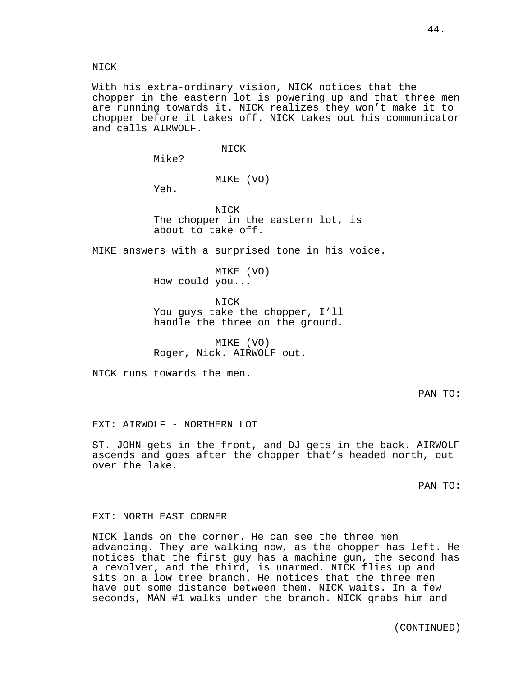NICK

With his extra-ordinary vision, NICK notices that the chopper in the eastern lot is powering up and that three men are running towards it. NICK realizes they won't make it to chopper before it takes off. NICK takes out his communicator and calls AIRWOLF.

NICK

Mike?

MIKE (VO)

Yeh.

NICK The chopper in the eastern lot, is about to take off.

MIKE answers with a surprised tone in his voice.

MIKE (VO) How could you...

NICK You guys take the chopper, I'll handle the three on the ground.

MIKE (VO) Roger, Nick. AIRWOLF out.

NICK runs towards the men.

PAN TO:

EXT: AIRWOLF - NORTHERN LOT

ST. JOHN gets in the front, and DJ gets in the back. AIRWOLF ascends and goes after the chopper that's headed north, out over the lake.

PAN TO:

#### EXT: NORTH EAST CORNER

NICK lands on the corner. He can see the three men advancing. They are walking now, as the chopper has left. He notices that the first guy has a machine gun, the second has a revolver, and the third, is unarmed. NICK flies up and sits on a low tree branch. He notices that the three men have put some distance between them. NICK waits. In a few seconds, MAN #1 walks under the branch. NICK grabs him and

(CONTINUED)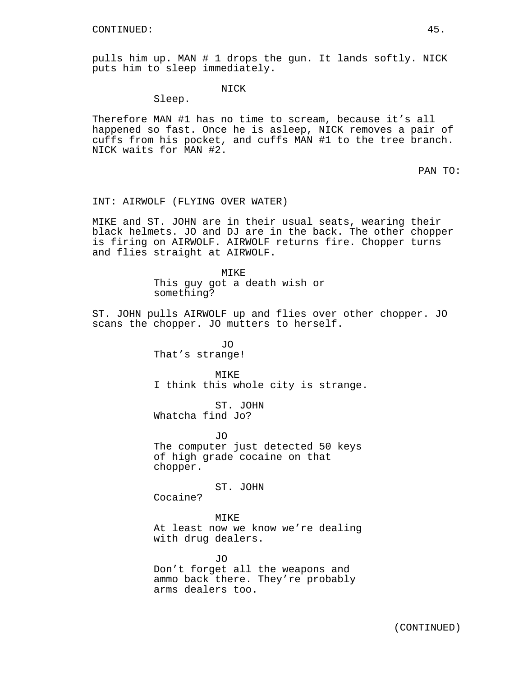pulls him up. MAN # 1 drops the gun. It lands softly. NICK puts him to sleep immediately.

NICK

Sleep.

Therefore MAN #1 has no time to scream, because it's all happened so fast. Once he is asleep, NICK removes a pair of cuffs from his pocket, and cuffs MAN #1 to the tree branch. NICK waits for MAN #2.

PAN TO:

#### INT: AIRWOLF (FLYING OVER WATER)

MIKE and ST. JOHN are in their usual seats, wearing their black helmets. JO and DJ are in the back. The other chopper is firing on AIRWOLF. AIRWOLF returns fire. Chopper turns and flies straight at AIRWOLF.

> MIKE This guy got a death wish or something?

ST. JOHN pulls AIRWOLF up and flies over other chopper. JO scans the chopper. JO mutters to herself.

> JO That's strange!

MIKE I think this whole city is strange.

ST. JOHN Whatcha find Jo?

JO The computer just detected 50 keys of high grade cocaine on that chopper.

ST. JOHN

Cocaine?

MIKE

At least now we know we're dealing with drug dealers.

JO Don't forget all the weapons and ammo back there. They're probably arms dealers too.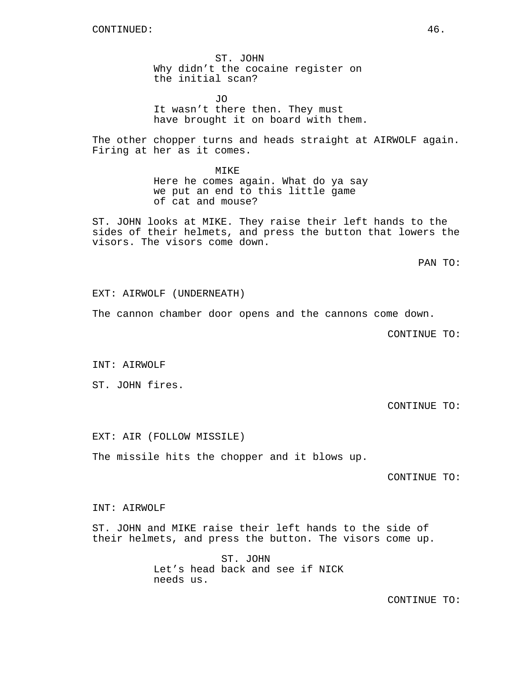ST. JOHN Why didn't the cocaine register on the initial scan?

JO It wasn't there then. They must have brought it on board with them.

The other chopper turns and heads straight at AIRWOLF again. Firing at her as it comes.

> MIKE Here he comes again. What do ya say we put an end to this little game of cat and mouse?

ST. JOHN looks at MIKE. They raise their left hands to the sides of their helmets, and press the button that lowers the visors. The visors come down.

PAN TO:

#### EXT: AIRWOLF (UNDERNEATH)

The cannon chamber door opens and the cannons come down.

CONTINUE TO:

INT: AIRWOLF

ST. JOHN fires.

CONTINUE TO:

EXT: AIR (FOLLOW MISSILE)

The missile hits the chopper and it blows up.

CONTINUE TO:

## INT: AIRWOLF

ST. JOHN and MIKE raise their left hands to the side of their helmets, and press the button. The visors come up.

> ST. JOHN Let's head back and see if NICK needs us.

> > CONTINUE TO: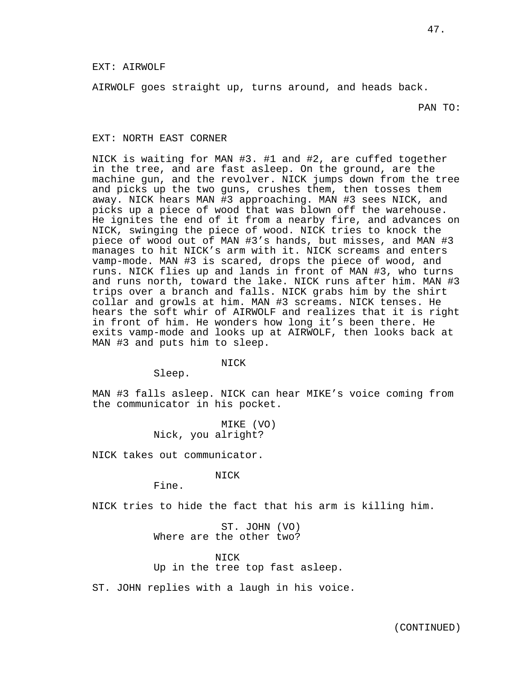#### EXT: AIRWOLF

AIRWOLF goes straight up, turns around, and heads back.

PAN TO:

#### EXT: NORTH EAST CORNER

NICK is waiting for MAN #3. #1 and #2, are cuffed together in the tree, and are fast asleep. On the ground, are the machine gun, and the revolver. NICK jumps down from the tree and picks up the two guns, crushes them, then tosses them away. NICK hears MAN #3 approaching. MAN #3 sees NICK, and picks up a piece of wood that was blown off the warehouse. He ignites the end of it from a nearby fire, and advances on NICK, swinging the piece of wood. NICK tries to knock the piece of wood out of MAN #3's hands, but misses, and MAN #3 manages to hit NICK's arm with it. NICK screams and enters vamp-mode. MAN #3 is scared, drops the piece of wood, and runs. NICK flies up and lands in front of MAN #3, who turns and runs north, toward the lake. NICK runs after him. MAN #3 trips over a branch and falls. NICK grabs him by the shirt collar and growls at him. MAN #3 screams. NICK tenses. He hears the soft whir of AIRWOLF and realizes that it is right in front of him. He wonders how long it's been there. He exits vamp-mode and looks up at AIRWOLF, then looks back at MAN #3 and puts him to sleep.

NICK

Sleep.

MAN #3 falls asleep. NICK can hear MIKE's voice coming from the communicator in his pocket.

> MIKE (VO) Nick, you alright?

NICK takes out communicator.

NICK

Fine.

NICK tries to hide the fact that his arm is killing him.

ST. JOHN (VO) Where are the other two?

**NTCK** Up in the tree top fast asleep.

ST. JOHN replies with a laugh in his voice.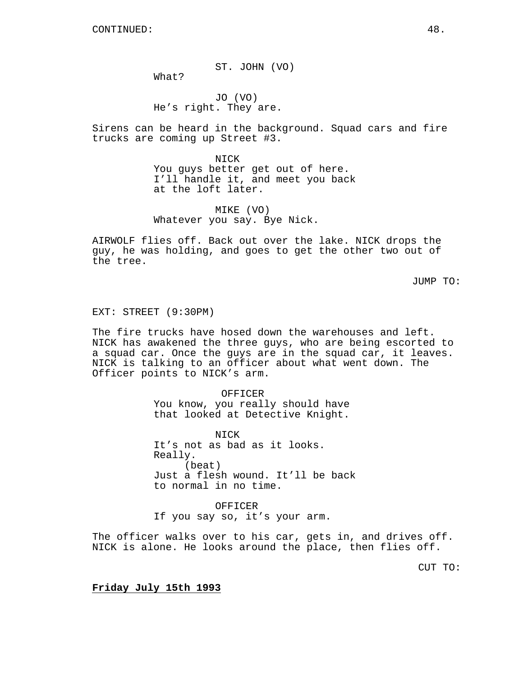ST. JOHN (VO)

JO (VO) He's right. They are.

What?

Sirens can be heard in the background. Squad cars and fire trucks are coming up Street #3.

> NICK You guys better get out of here. I'll handle it, and meet you back at the loft later.

MIKE (VO) Whatever you say. Bye Nick.

AIRWOLF flies off. Back out over the lake. NICK drops the guy, he was holding, and goes to get the other two out of the tree.

JUMP TO:

#### EXT: STREET (9:30PM)

The fire trucks have hosed down the warehouses and left. NICK has awakened the three guys, who are being escorted to a squad car. Once the guys are in the squad car, it leaves. NICK is talking to an officer about what went down. The Officer points to NICK's arm.

#### OFFICER

You know, you really should have that looked at Detective Knight.

NICK It's not as bad as it looks. Really. (beat) Just a flesh wound. It'll be back to normal in no time.

OFFICER If you say so, it's your arm.

The officer walks over to his car, gets in, and drives off. NICK is alone. He looks around the place, then flies off.

CUT TO:

#### **Friday July 15th 1993**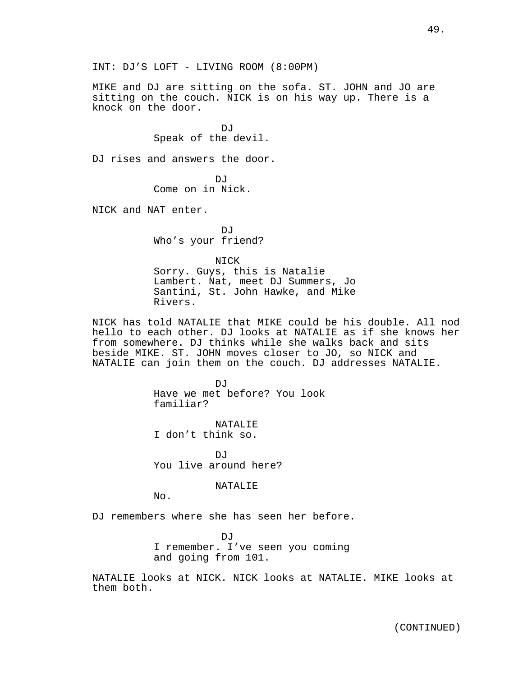INT: DJ'S LOFT - LIVING ROOM (8:00PM)

MIKE and DJ are sitting on the sofa. ST. JOHN and JO are sitting on the couch. NICK is on his way up. There is a knock on the door.

> DJ Speak of the devil.

DJ rises and answers the door.

DJ Come on in Nick.

NICK and NAT enter.

D<sub>J</sub> Who's your friend?

NICK Sorry. Guys, this is Natalie Lambert. Nat, meet DJ Summers, Jo Santini, St. John Hawke, and Mike Rivers.

NICK has told NATALIE that MIKE could be his double. All nod hello to each other. DJ looks at NATALIE as if she knows her from somewhere. DJ thinks while she walks back and sits beside MIKE. ST. JOHN moves closer to JO, so NICK and NATALIE can join them on the couch. DJ addresses NATALIE.

> DJ<sub>J</sub> Have we met before? You look familiar?

NATALIE I don't think so.

DJ You live around here?

NATALIE

No.

DJ remembers where she has seen her before.

DJ I remember. I've seen you coming and going from 101.

NATALIE looks at NICK. NICK looks at NATALIE. MIKE looks at them both.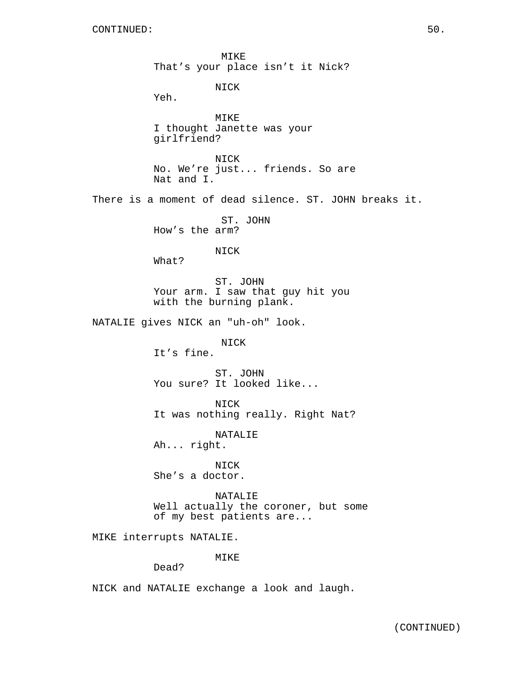MIKE That's your place isn't it Nick?

NICK

Yeh.

MIKE I thought Janette was your girlfriend?

NICK No. We're just... friends. So are Nat and I.

There is a moment of dead silence. ST. JOHN breaks it.

ST. JOHN How's the arm?

NICK

What?

ST. JOHN Your arm. I saw that guy hit you with the burning plank.

NATALIE gives NICK an "uh-oh" look.

NICK

It's fine.

ST. JOHN You sure? It looked like...

NICK It was nothing really. Right Nat?

NATALIE

Ah... right.

NICK She's a doctor.

NATALIE Well actually the coroner, but some of my best patients are...

MIKE interrupts NATALIE.

MIKE

Dead?

NICK and NATALIE exchange a look and laugh.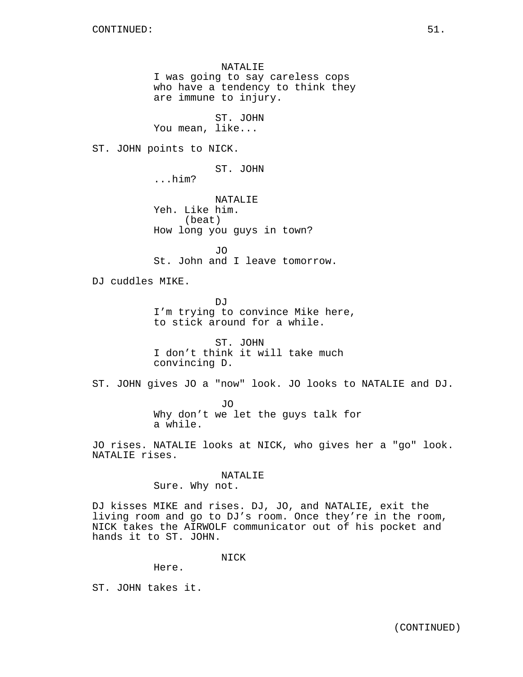NATALIE I was going to say careless cops who have a tendency to think they are immune to injury.

ST. JOHN You mean, like...

ST. JOHN points to NICK.

ST. JOHN

...him?

NATALIE Yeh. Like him. (beat) How long you guys in town?

JO St. John and I leave tomorrow.

DJ cuddles MIKE.

DJ I'm trying to convince Mike here, to stick around for a while.

ST. JOHN I don't think it will take much convincing D.

ST. JOHN gives JO a "now" look. JO looks to NATALIE and DJ.

JO Why don't we let the guys talk for a while.

JO rises. NATALIE looks at NICK, who gives her a "go" look. NATALIE rises.

NATALIE

Sure. Why not.

DJ kisses MIKE and rises. DJ, JO, and NATALIE, exit the living room and go to DJ's room. Once they're in the room, NICK takes the AIRWOLF communicator out of his pocket and hands it to ST. JOHN.

NICK

Here.

ST. JOHN takes it.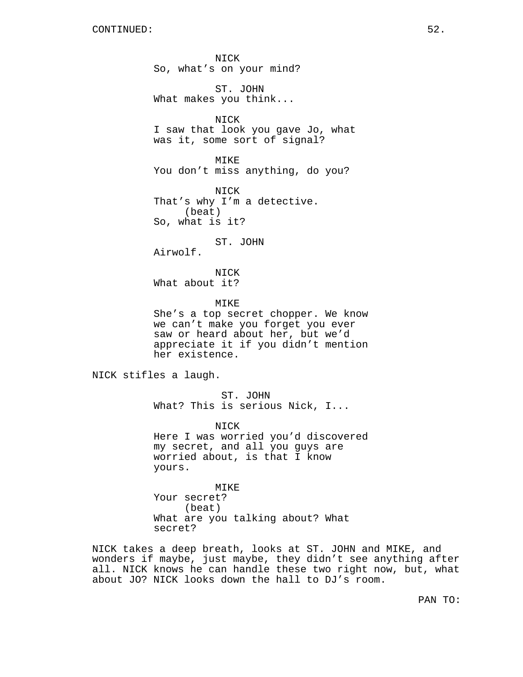NICK So, what's on your mind? ST. JOHN What makes you think... NICK I saw that look you gave Jo, what was it, some sort of signal? MIKE You don't miss anything, do you? NICK That's why I'm a detective. (beat) So, what is it? ST. JOHN Airwolf. NICK What about it? MIKE She's a top secret chopper. We know we can't make you forget you ever saw or heard about her, but we'd appreciate it if you didn't mention her existence. NICK stifles a laugh. ST. JOHN What? This is serious Nick, I... NICK Here I was worried you'd discovered my secret, and all you guys are worried about, is that I know yours. MIKE Your secret? (beat) What are you talking about? What

NICK takes a deep breath, looks at ST. JOHN and MIKE, and wonders if maybe, just maybe, they didn't see anything after all. NICK knows he can handle these two right now, but, what about JO? NICK looks down the hall to DJ's room.

secret?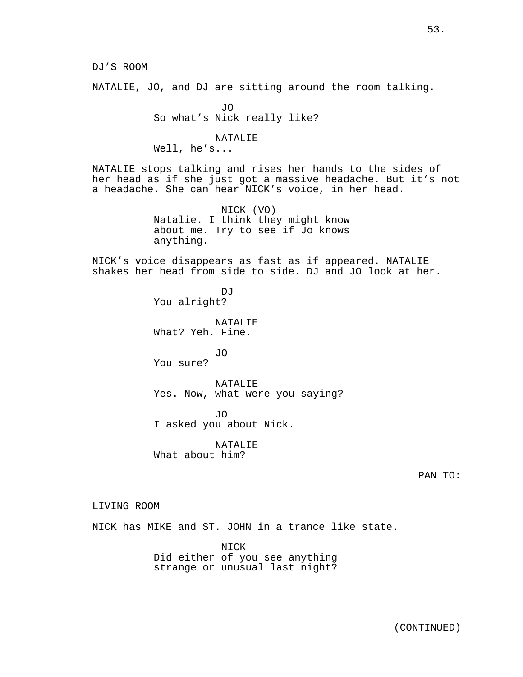NATALIE, JO, and DJ are sitting around the room talking.

JO So what's Nick really like?

NATALIE

Well, he's...

NATALIE stops talking and rises her hands to the sides of her head as if she just got a massive headache. But it's not a headache. She can hear NICK's voice, in her head.

> NICK (VO) Natalie. I think they might know about me. Try to see if Jo knows anything.

NICK's voice disappears as fast as if appeared. NATALIE shakes her head from side to side. DJ and JO look at her.

> $D \cdot T$ You alright? NATALIE

What? Yeh. Fine.

JO You sure?

NATALIE Yes. Now, what were you saying?

JO I asked you about Nick.

NATALIE What about him?

LIVING ROOM

NICK has MIKE and ST. JOHN in a trance like state.

NICK Did either of you see anything strange or unusual last night?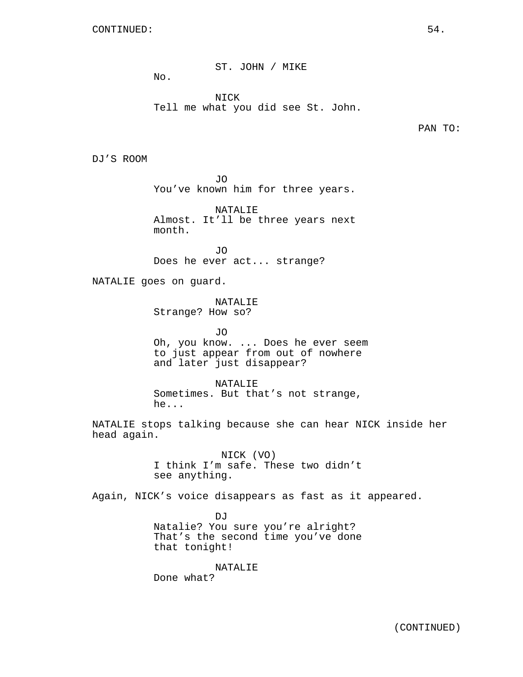ST. JOHN / MIKE

NICK Tell me what you did see St. John.

PAN TO:

DJ'S ROOM

JO You've known him for three years.

NATALIE Almost. It'll be three years next month.

JO Does he ever act... strange?

NATALIE goes on guard.

 $N<sub>O</sub>$ .

NATALIE Strange? How so?

JO Oh, you know. ... Does he ever seem to just appear from out of nowhere and later just disappear?

NATALIE Sometimes. But that's not strange, he...

NATALIE stops talking because she can hear NICK inside her head again.

> NICK (VO) I think I'm safe. These two didn't see anything.

Again, NICK's voice disappears as fast as it appeared.

DJ Natalie? You sure you're alright? That's the second time you've done that tonight!

NATALIE Done what?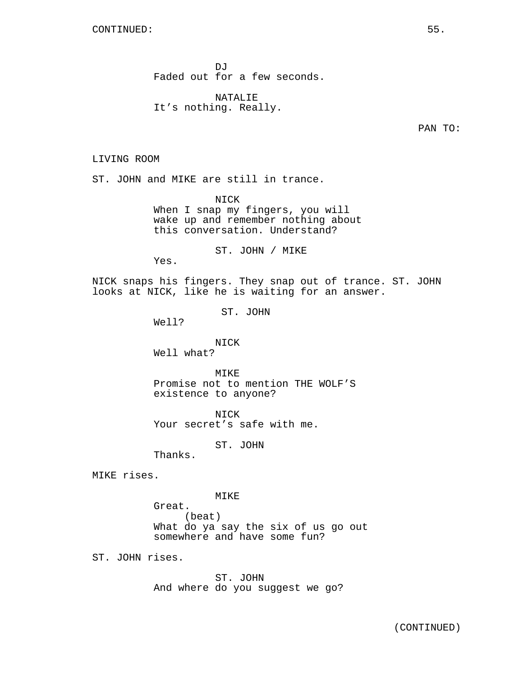DJ<sub>J</sub> Faded out for a few seconds.

NATALIE It's nothing. Really.

PAN TO:

LIVING ROOM

ST. JOHN and MIKE are still in trance.

NICK When I snap my fingers, you will wake up and remember nothing about this conversation. Understand?

ST. JOHN / MIKE

Yes.

NICK snaps his fingers. They snap out of trance. ST. JOHN looks at NICK, like he is waiting for an answer.

ST. JOHN

Well?

NICK Well what?

MTK<sub>E</sub> Promise not to mention THE WOLF'S existence to anyone?

NICK Your secret's safe with me.

ST. JOHN

Thanks.

MIKE rises.

MIKE

Great. (beat) What do ya say the six of us go out somewhere and have some fun?

ST. JOHN rises.

ST. JOHN And where do you suggest we go?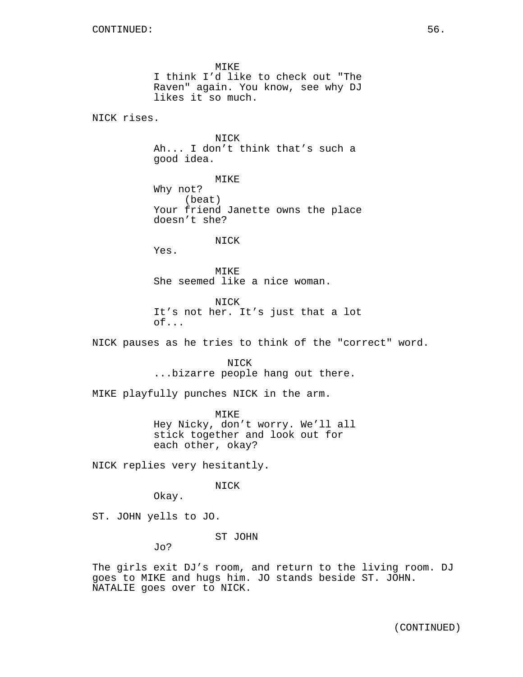MIKE I think I'd like to check out "The Raven" again. You know, see why DJ likes it so much.

NICK rises.

**NTCK** Ah... I don't think that's such a good idea.

MIKE Why not? (beat) Your friend Janette owns the place doesn't she?

NICK

Yes.

MIKE She seemed like a nice woman.

NICK It's not her. It's just that a lot of...

NICK pauses as he tries to think of the "correct" word.

NICK ...bizarre people hang out there.

MIKE playfully punches NICK in the arm.

MIKE Hey Nicky, don't worry. We'll all stick together and look out for each other, okay?

NICK replies very hesitantly.

NICK

Okay.

ST. JOHN yells to JO.

ST JOHN

Jo?

The girls exit DJ's room, and return to the living room. DJ goes to MIKE and hugs him. JO stands beside ST. JOHN. NATALIE goes over to NICK.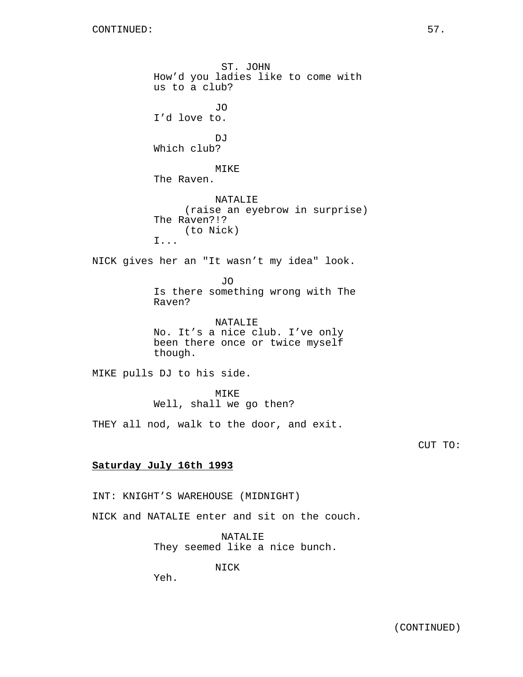ST. JOHN How'd you ladies like to come with us to a club? JO I'd love to.  $D_{1}T$ Which club? MIKE The Raven. NATALIE (raise an eyebrow in surprise) The Raven?!? (to Nick) I... NICK gives her an "It wasn't my idea" look. JO Is there something wrong with The Raven? NATALIE No. It's a nice club. I've only been there once or twice myself though. MIKE pulls DJ to his side. MIKE Well, shall we go then? THEY all nod, walk to the door, and exit. **Saturday July 16th 1993** INT: KNIGHT'S WAREHOUSE (MIDNIGHT)

NICK and NATALIE enter and sit on the couch.

NATALIE They seemed like a nice bunch.

NICK

Yeh.

CUT TO: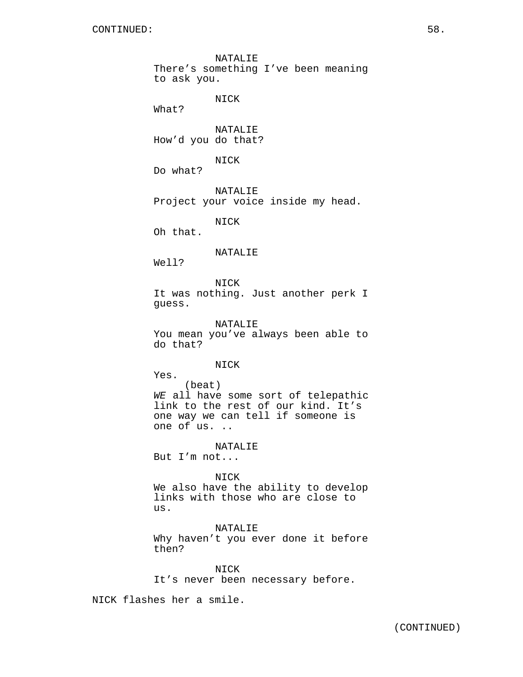NATALIE There's something I've been meaning to ask you. NICK What? NATALIE How'd you do that? NICK Do what? NATALIE Project your voice inside my head. NICK Oh that. NATALIE Well? NICK It was nothing. Just another perk I guess. NATALIE You mean you've always been able to do that? NICK Yes. (beat) WE all have some sort of telepathic link to the rest of our kind. It's one way we can tell if someone is one of us. .. NATALIE But I'm not... NICK We also have the ability to develop links with those who are close to us. NATALIE Why haven't you ever done it before

NICK It's never been necessary before.

NICK flashes her a smile.

then?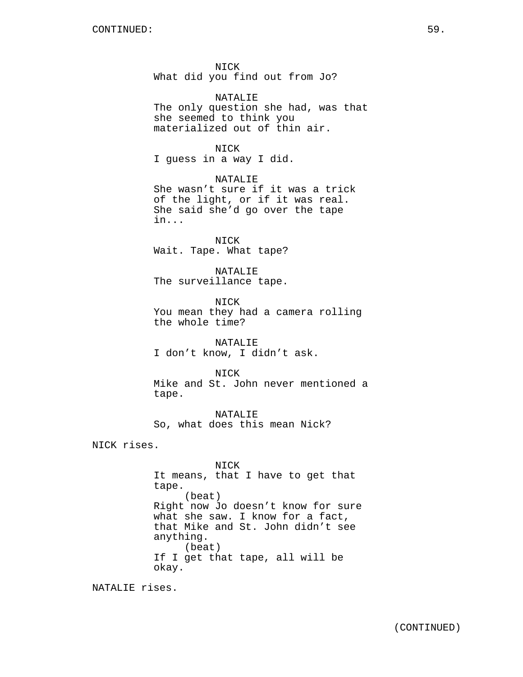NICK What did you find out from Jo?

NATALIE The only question she had, was that she seemed to think you materialized out of thin air.

#### NICK

I guess in a way I did.

NATALIE She wasn't sure if it was a trick of the light, or if it was real. She said she'd go over the tape in...

NICK Wait. Tape. What tape?

NATALIE The surveillance tape.

NICK You mean they had a camera rolling the whole time?

NATALIE I don't know, I didn't ask.

NICK Mike and St. John never mentioned a tape.

NATALIE So, what does this mean Nick?

NICK rises.

NICK It means, that I have to get that tape. (beat) Right now Jo doesn't know for sure what she saw. I know for a fact, that Mike and St. John didn't see anything. (beat) If I get that tape, all will be okay.

NATALIE rises.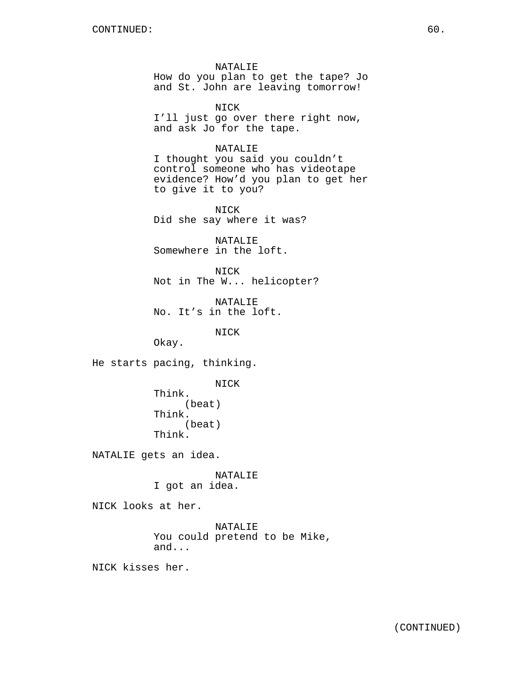NATALIE How do you plan to get the tape? Jo and St. John are leaving tomorrow!

NICK I'll just go over there right now, and ask Jo for the tape.

#### NATALIE

I thought you said you couldn't control someone who has videotape evidence? How'd you plan to get her to give it to you?

NICK Did she say where it was?

NATALIE Somewhere in the loft.

NICK Not in The W... helicopter?

NATALIE No. It's in the loft.

NICK

Okay.

He starts pacing, thinking.

NICK

Think. (beat) Think. (beat) Think.

NATALIE gets an idea.

NATALIE I got an idea.

NICK looks at her.

NATALIE You could pretend to be Mike, and...

NICK kisses her.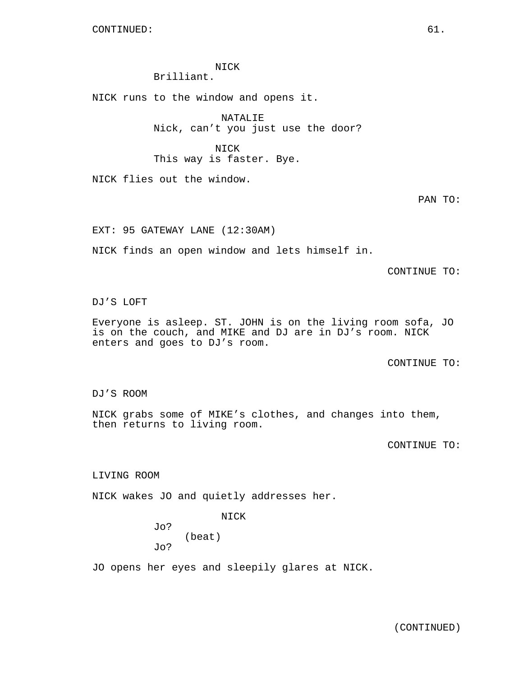NICK Brilliant.

NICK runs to the window and opens it.

NATALIE Nick, can't you just use the door?

NICK This way is faster. Bye.

NICK flies out the window.

PAN TO:

EXT: 95 GATEWAY LANE (12:30AM)

NICK finds an open window and lets himself in.

CONTINUE TO:

DJ'S LOFT

Everyone is asleep. ST. JOHN is on the living room sofa, JO is on the couch, and MIKE and DJ are in DJ's room. NICK enters and goes to DJ's room.

CONTINUE TO:

DJ'S ROOM

NICK grabs some of MIKE's clothes, and changes into them, then returns to living room.

CONTINUE TO:

LIVING ROOM

NICK wakes JO and quietly addresses her.

NICK

Jo? (beat) Jo?

JO opens her eyes and sleepily glares at NICK.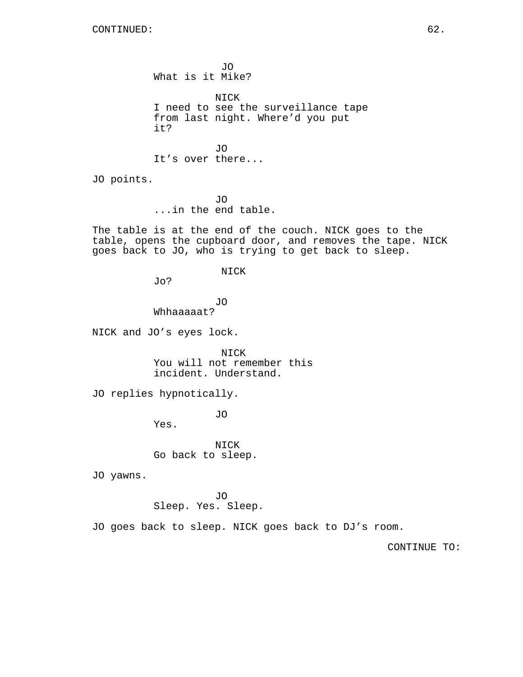JO What is it Mike? NICK I need to see the surveillance tape from last night. Where'd you put it? JO It's over there...

JO points.

JO ...in the end table.

The table is at the end of the couch. NICK goes to the table, opens the cupboard door, and removes the tape. NICK goes back to JO, who is trying to get back to sleep.

NICK

Jo?

JO Whhaaaaat?

NICK and JO's eyes lock.

NICK You will not remember this incident. Understand.

JO replies hypnotically.

JO

Yes.

NICK Go back to sleep.

JO yawns.

JO Sleep. Yes. Sleep.

JO goes back to sleep. NICK goes back to DJ's room.

CONTINUE TO: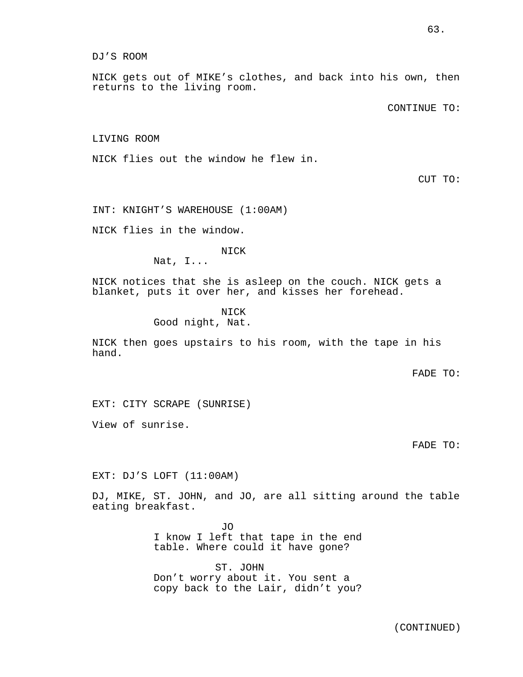DJ'S ROOM

NICK gets out of MIKE's clothes, and back into his own, then returns to the living room.

CONTINUE TO:

LIVING ROOM

NICK flies out the window he flew in.

CUT TO:

INT: KNIGHT'S WAREHOUSE (1:00AM)

NICK flies in the window.

NICK

Nat, I...

NICK notices that she is asleep on the couch. NICK gets a blanket, puts it over her, and kisses her forehead.

> NICK Good night, Nat.

NICK then goes upstairs to his room, with the tape in his hand.

FADE TO:

EXT: CITY SCRAPE (SUNRISE)

View of sunrise.

FADE TO:

EXT: DJ'S LOFT (11:00AM)

DJ, MIKE, ST. JOHN, and JO, are all sitting around the table eating breakfast.

> JO I know I left that tape in the end table. Where could it have gone?

> ST. JOHN Don't worry about it. You sent a copy back to the Lair, didn't you?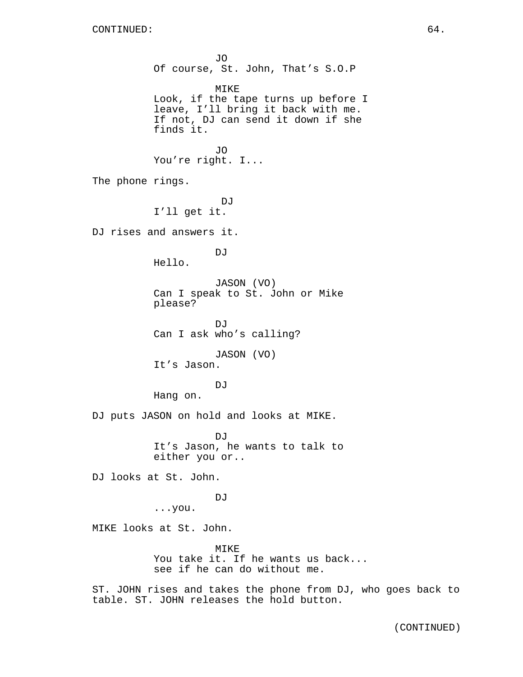JO Of course, St. John, That's S.O.P MIKE Look, if the tape turns up before I leave, I'll bring it back with me. If not, DJ can send it down if she finds it. JO You're right. I... The phone rings.  $D_{\rm}$ I'll get it. DJ rises and answers it. DJ Hello. JASON (VO) Can I speak to St. John or Mike please? DJ<sub>J</sub> Can I ask who's calling? JASON (VO) It's Jason. DJ Hang on. DJ puts JASON on hold and looks at MIKE. DJ It's Jason, he wants to talk to either you or.. DJ looks at St. John. DJ<sub>J</sub> ...you. MIKE looks at St. John. MIKE You take it. If he wants us back... see if he can do without me. ST. JOHN rises and takes the phone from DJ, who goes back to table. ST. JOHN releases the hold button.

(CONTINUED)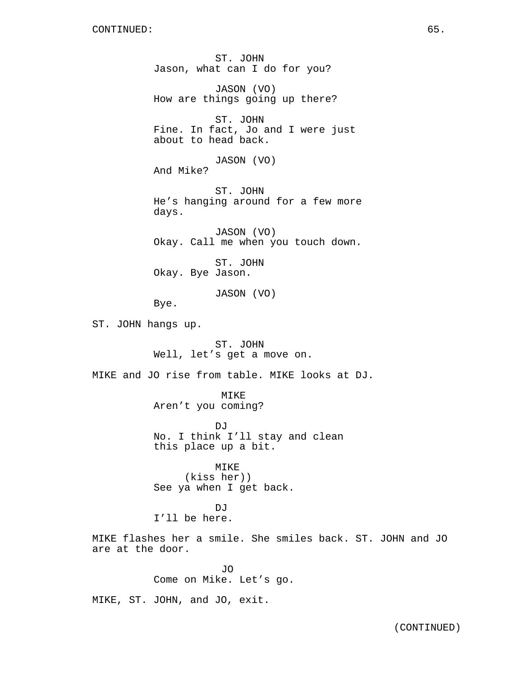ST. JOHN Jason, what can I do for you?

JASON (VO) How are things going up there?

ST. JOHN Fine. In fact, Jo and I were just about to head back.

JASON (VO) And Mike?

ST. JOHN He's hanging around for a few more days.

JASON (VO) Okay. Call me when you touch down.

ST. JOHN Okay. Bye Jason.

JASON (VO)

Bye.

ST. JOHN hangs up.

ST. JOHN Well, let's get a move on.

MIKE and JO rise from table. MIKE looks at DJ.

MIKE Aren't you coming?

DJ No. I think I'll stay and clean this place up a bit.

MIKE (kiss her)) See ya when I get back.

**DJ** I'll be here.

MIKE flashes her a smile. She smiles back. ST. JOHN and JO are at the door.

> JO Come on Mike. Let's go.

MIKE, ST. JOHN, and JO, exit.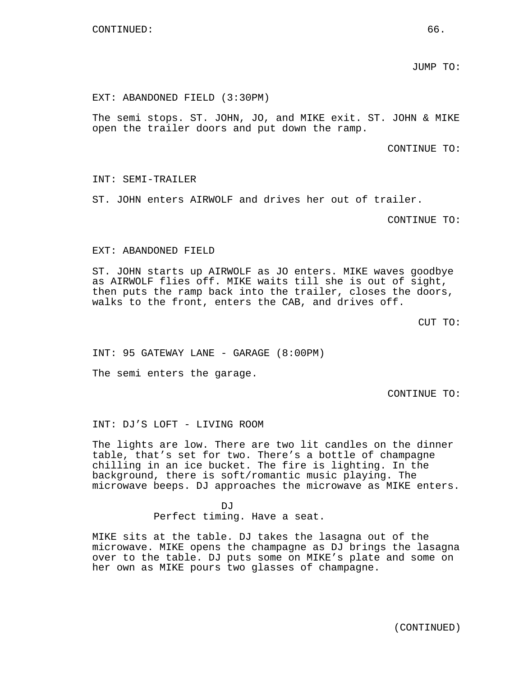JUMP TO:

#### EXT: ABANDONED FIELD (3:30PM)

The semi stops. ST. JOHN, JO, and MIKE exit. ST. JOHN & MIKE open the trailer doors and put down the ramp.

CONTINUE TO:

INT: SEMI-TRAILER

ST. JOHN enters AIRWOLF and drives her out of trailer.

CONTINUE TO:

#### EXT: ABANDONED FIELD

ST. JOHN starts up AIRWOLF as JO enters. MIKE waves goodbye as AIRWOLF flies off. MIKE waits till she is out of sight, then puts the ramp back into the trailer, closes the doors, walks to the front, enters the CAB, and drives off.

CUT TO:

INT: 95 GATEWAY LANE - GARAGE (8:00PM)

The semi enters the garage.

CONTINUE TO:

INT: DJ'S LOFT - LIVING ROOM

The lights are low. There are two lit candles on the dinner table, that's set for two. There's a bottle of champagne chilling in an ice bucket. The fire is lighting. In the background, there is soft/romantic music playing. The microwave beeps. DJ approaches the microwave as MIKE enters.

> D<sub>J</sub> Perfect timing. Have a seat.

MIKE sits at the table. DJ takes the lasagna out of the microwave. MIKE opens the champagne as DJ brings the lasagna over to the table. DJ puts some on MIKE's plate and some on her own as MIKE pours two glasses of champagne.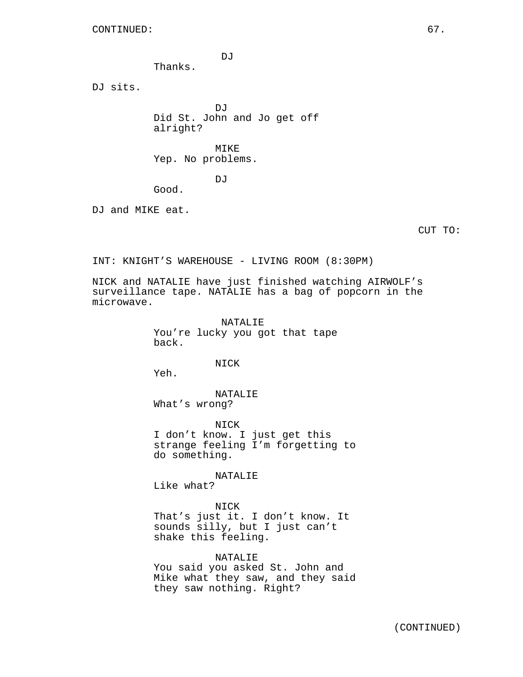DJ

Thanks.

DJ sits.

DJ Did St. John and Jo get off alright?

MIKE Yep. No problems.

DJ

Good.

DJ and MIKE eat.

CUT TO:

INT: KNIGHT'S WAREHOUSE - LIVING ROOM (8:30PM)

NICK and NATALIE have just finished watching AIRWOLF's surveillance tape. NATALIE has a bag of popcorn in the microwave.

> NATALIE You're lucky you got that tape back.

> > NICK

Yeh.

NATALIE What's wrong?

NICK I don't know. I just get this strange feeling I'm forgetting to do something.

NATALIE

Like what?

NICK That's just it. I don't know. It sounds silly, but I just can't shake this feeling.

NATALIE You said you asked St. John and Mike what they saw, and they said they saw nothing. Right?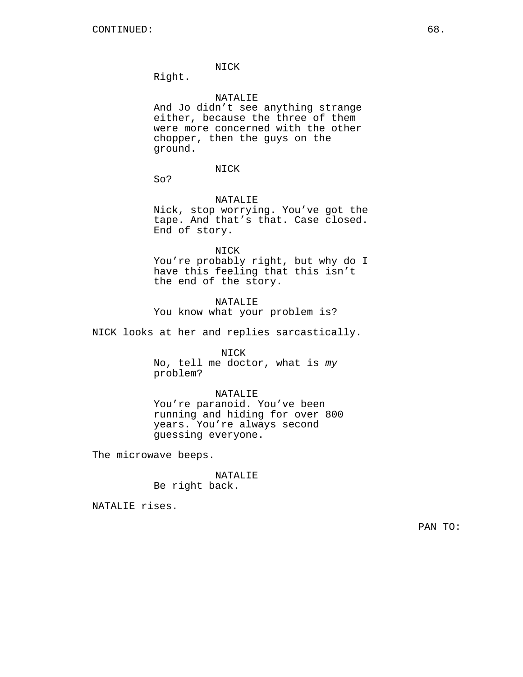## NICK

Right.

## NATALIE

And Jo didn't see anything strange either, because the three of them were more concerned with the other chopper, then the guys on the ground.

## NICK

So?

## NATALIE

Nick, stop worrying. You've got the tape. And that's that. Case closed. End of story.

NICK

You're probably right, but why do I have this feeling that this isn't the end of the story.

NATALIE You know what your problem is?

NICK looks at her and replies sarcastically.

#### NICK

No, tell me doctor, what is my problem?

#### NATALIE

You're paranoid. You've been running and hiding for over 800 years. You're always second guessing everyone.

The microwave beeps.

## NATALIE Be right back.

NATALIE rises.

PAN TO: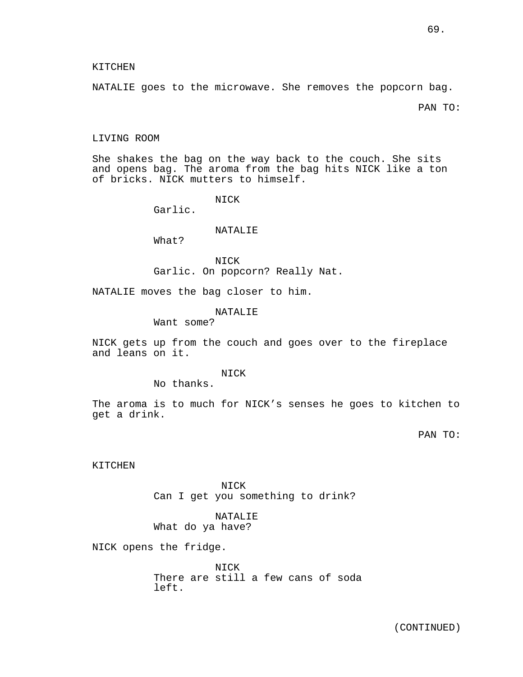## KITCHEN

NATALIE goes to the microwave. She removes the popcorn bag.

PAN TO:

#### LIVING ROOM

She shakes the bag on the way back to the couch. She sits and opens bag. The aroma from the bag hits NICK like a ton of bricks. NICK mutters to himself.

NICK

Garlic.

#### NATALIE

What?

NICK Garlic. On popcorn? Really Nat.

NATALIE moves the bag closer to him.

## NATALIE

Want some?

NICK gets up from the couch and goes over to the fireplace and leans on it.

## **NICK**

No thanks.

The aroma is to much for NICK's senses he goes to kitchen to get a drink.

PAN TO:

KITCHEN

NICK Can I get you something to drink?

## NATALIE What do ya have?

NICK opens the fridge.

NICK There are still a few cans of soda left.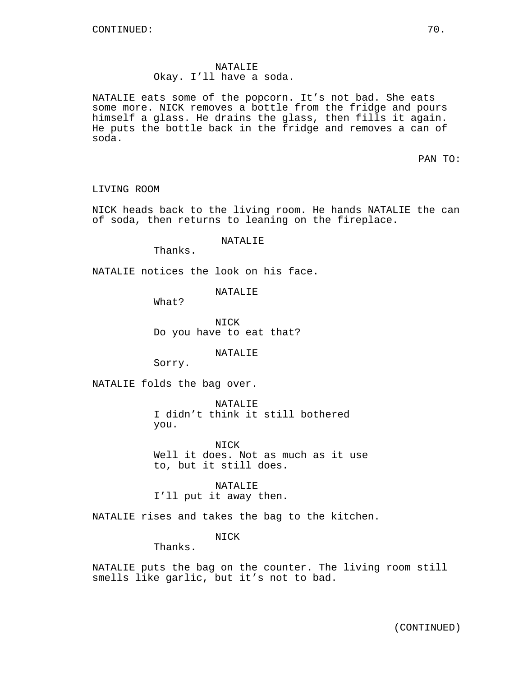## NATALIE Okay. I'll have a soda.

NATALIE eats some of the popcorn. It's not bad. She eats some more. NICK removes a bottle from the fridge and pours himself a glass. He drains the glass, then fills it again. He puts the bottle back in the fridge and removes a can of soda.

PAN TO:

LIVING ROOM

NICK heads back to the living room. He hands NATALIE the can of soda, then returns to leaning on the fireplace.

NATALIE

Thanks.

NATALIE notices the look on his face.

NATALIE

What?

NICK Do you have to eat that?

NATALIE

Sorry.

NATALIE folds the bag over.

NATALIE I didn't think it still bothered you.

NICK Well it does. Not as much as it use to, but it still does.

NATALIE I'll put it away then.

NATALIE rises and takes the bag to the kitchen.

NICK

Thanks.

NATALIE puts the bag on the counter. The living room still smells like garlic, but it's not to bad.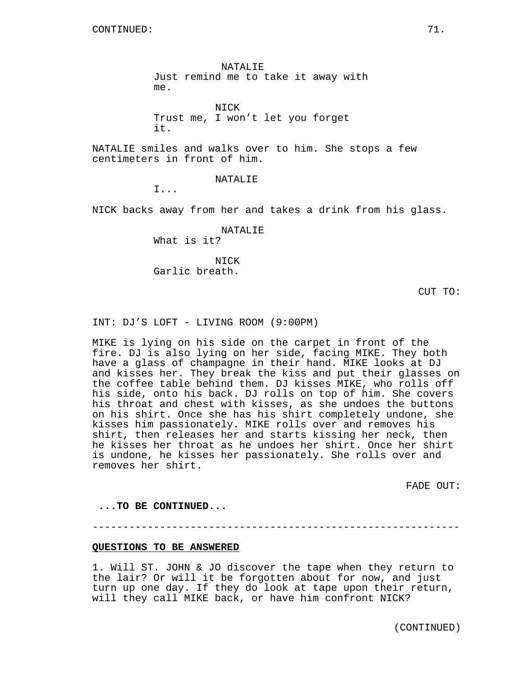NATALIE Just remind me to take it away with me.

NICK Trust me, I won't let you forget it.

NATALIE smiles and walks over to him. She stops a few centimeters in front of him.

NATALIE

I...

NICK backs away from her and takes a drink from his glass.

NATALIE What is it?

NICK Garlic breath.

CUT TO:

INT: DJ'S LOFT - LIVING ROOM (9:00PM)

MIKE is lying on his side on the carpet in front of the fire. DJ is also lying on her side, facing MIKE. They both have a glass of champagne in their hand. MIKE looks at DJ and kisses her. They break the kiss and put their glasses on the coffee table behind them. DJ kisses MIKE, who rolls off his side, onto his back. DJ rolls on top of him. She covers his throat and chest with kisses, as she undoes the buttons on his shirt. Once she has his shirt completely undone, she kisses him passionately. MIKE rolls over and removes his shirt, then releases her and starts kissing her neck, then he kisses her throat as he undoes her shirt. Once her shirt is undone, he kisses her passionately. She rolls over and removes her shirt.

FADE OUT:

**...TO BE CONTINUED...**

------------------------------------------------------------

## **QUESTIONS TO BE ANSWERED**

1. Will ST. JOHN & JO discover the tape when they return to the lair? Or will it be forgotten about for now, and just turn up one day. If they do look at tape upon their return, will they call MIKE back, or have him confront NICK?

(CONTINUED)